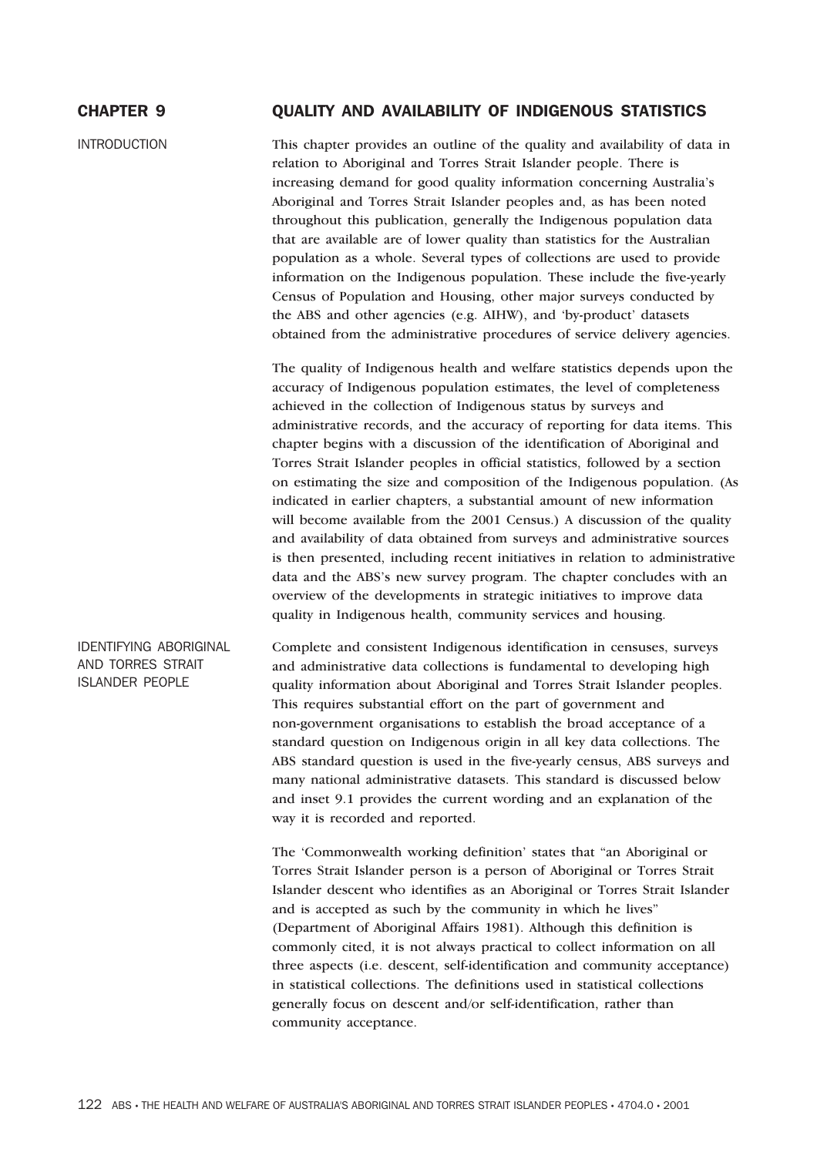# CHAPTER 9 QUALITY AND AVAILABILITY OF INDIGENOUS STATISTICS

INTRODUCTION This chapter provides an outline of the quality and availability of data in relation to Aboriginal and Torres Strait Islander people. There is increasing demand for good quality information concerning Australia's Aboriginal and Torres Strait Islander peoples and, as has been noted throughout this publication, generally the Indigenous population data that are available are of lower quality than statistics for the Australian population as a whole. Several types of collections are used to provide information on the Indigenous population. These include the five-yearly Census of Population and Housing, other major surveys conducted by the ABS and other agencies (e.g. AIHW), and 'by-product' datasets obtained from the administrative procedures of service delivery agencies.

> The quality of Indigenous health and welfare statistics depends upon the accuracy of Indigenous population estimates, the level of completeness achieved in the collection of Indigenous status by surveys and administrative records, and the accuracy of reporting for data items. This chapter begins with a discussion of the identification of Aboriginal and Torres Strait Islander peoples in official statistics, followed by a section on estimating the size and composition of the Indigenous population. (As indicated in earlier chapters, a substantial amount of new information will become available from the 2001 Census.) A discussion of the quality and availability of data obtained from surveys and administrative sources is then presented, including recent initiatives in relation to administrative data and the ABS's new survey program. The chapter concludes with an overview of the developments in strategic initiatives to improve data quality in Indigenous health, community services and housing.

Complete and consistent Indigenous identification in censuses, surveys and administrative data collections is fundamental to developing high quality information about Aboriginal and Torres Strait Islander peoples. This requires substantial effort on the part of government and non-government organisations to establish the broad acceptance of a standard question on Indigenous origin in all key data collections. The ABS standard question is used in the five-yearly census, ABS surveys and many national administrative datasets. This standard is discussed below and inset 9.1 provides the current wording and an explanation of the way it is recorded and reported.

> The 'Commonwealth working definition' states that "an Aboriginal or Torres Strait Islander person is a person of Aboriginal or Torres Strait Islander descent who identifies as an Aboriginal or Torres Strait Islander and is accepted as such by the community in which he lives" (Department of Aboriginal Affairs 1981). Although this definition is commonly cited, it is not always practical to collect information on all three aspects (i.e. descent, self-identification and community acceptance) in statistical collections. The definitions used in statistical collections generally focus on descent and/or self-identification, rather than community acceptance.

IDENTIFYING ABORIGINAL AND TORRES STRAIT ISLANDER PEOPLE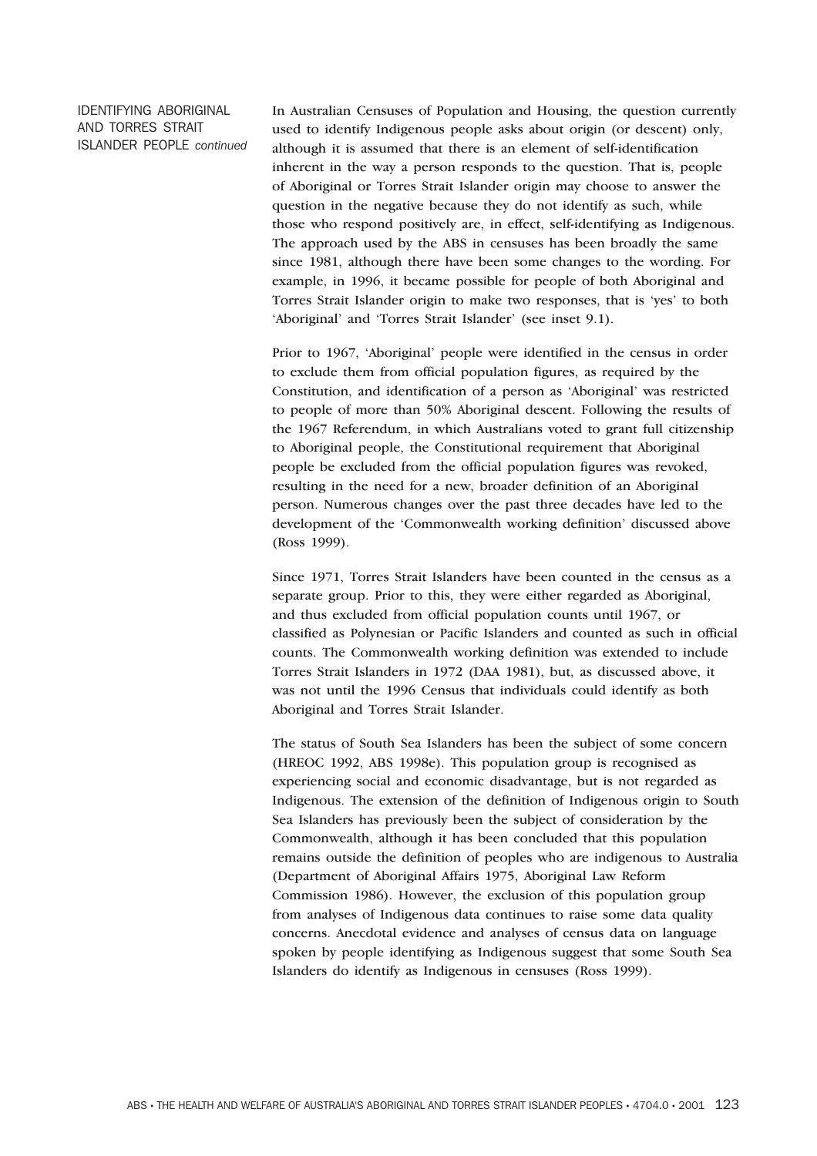IDENTIFYING ABORIGINAL AND TORRES STRAIT ISLANDER PEOPLE *continued* In Australian Censuses of Population and Housing, the question currently used to identify Indigenous people asks about origin (or descent) only, although it is assumed that there is an element of self-identification inherent in the way a person responds to the question. That is, people of Aboriginal or Torres Strait Islander origin may choose to answer the question in the negative because they do not identify as such, while those who respond positively are, in effect, self-identifying as Indigenous. The approach used by the ABS in censuses has been broadly the same since 1981, although there have been some changes to the wording. For example, in 1996, it became possible for people of both Aboriginal and Torres Strait Islander origin to make two responses, that is 'yes' to both 'Aboriginal' and 'Torres Strait Islander' (see inset 9.1).

Prior to 1967, 'Aboriginal' people were identified in the census in order to exclude them from official population figures, as required by the Constitution, and identification of a person as 'Aboriginal' was restricted to people of more than 50% Aboriginal descent. Following the results of the 1967 Referendum, in which Australians voted to grant full citizenship to Aboriginal people, the Constitutional requirement that Aboriginal people be excluded from the official population figures was revoked, resulting in the need for a new, broader definition of an Aboriginal person. Numerous changes over the past three decades have led to the development of the 'Commonwealth working definition' discussed above (Ross 1999).

Since 1971, Torres Strait Islanders have been counted in the census as a separate group. Prior to this, they were either regarded as Aboriginal, and thus excluded from official population counts until 1967, or classified as Polynesian or Pacific Islanders and counted as such in official counts. The Commonwealth working definition was extended to include Torres Strait Islanders in 1972 (DAA 1981), but, as discussed above, it was not until the 1996 Census that individuals could identify as both Aboriginal and Torres Strait Islander.

The status of South Sea Islanders has been the subject of some concern (HREOC 1992, ABS 1998e). This population group is recognised as experiencing social and economic disadvantage, but is not regarded as Indigenous. The extension of the definition of Indigenous origin to South Sea Islanders has previously been the subject of consideration by the Commonwealth, although it has been concluded that this population remains outside the definition of peoples who are indigenous to Australia (Department of Aboriginal Affairs 1975, Aboriginal Law Reform Commission 1986). However, the exclusion of this population group from analyses of Indigenous data continues to raise some data quality concerns. Anecdotal evidence and analyses of census data on language spoken by people identifying as Indigenous suggest that some South Sea Islanders do identify as Indigenous in censuses (Ross 1999).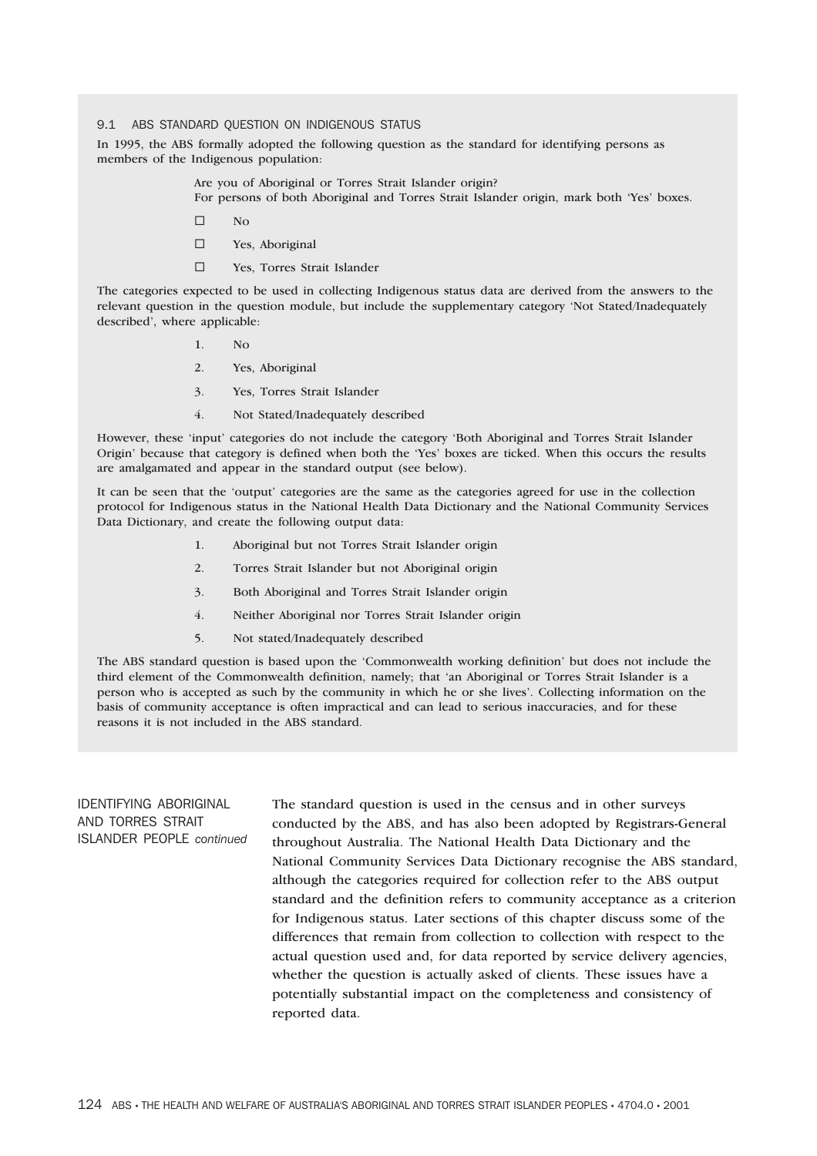#### 9.1 ABS STANDARD QUESTION ON INDIGENOUS STATUS

In 1995, the ABS formally adopted the following question as the standard for identifying persons as members of the Indigenous population:

> Are you of Aboriginal or Torres Strait Islander origin? For persons of both Aboriginal and Torres Strait Islander origin, mark both 'Yes' boxes.

- $\square$  No
- □ Yes, Aboriginal
- Yes, Torres Strait Islander

The categories expected to be used in collecting Indigenous status data are derived from the answers to the relevant question in the question module, but include the supplementary category 'Not Stated/Inadequately described', where applicable:

- $1$  No
- 2. Yes, Aboriginal
- 3. Yes, Torres Strait Islander
- 4. Not Stated/Inadequately described

However, these 'input' categories do not include the category 'Both Aboriginal and Torres Strait Islander Origin' because that category is defined when both the 'Yes' boxes are ticked. When this occurs the results are amalgamated and appear in the standard output (see below).

It can be seen that the 'output' categories are the same as the categories agreed for use in the collection protocol for Indigenous status in the National Health Data Dictionary and the National Community Services Data Dictionary, and create the following output data:

- 1. Aboriginal but not Torres Strait Islander origin
- 2. Torres Strait Islander but not Aboriginal origin
- 3. Both Aboriginal and Torres Strait Islander origin
- 4. Neither Aboriginal nor Torres Strait Islander origin
- 5. Not stated/Inadequately described

The ABS standard question is based upon the 'Commonwealth working definition' but does not include the third element of the Commonwealth definition, namely; that 'an Aboriginal or Torres Strait Islander is a person who is accepted as such by the community in which he or she lives'. Collecting information on the basis of community acceptance is often impractical and can lead to serious inaccuracies, and for these reasons it is not included in the ABS standard.

# IDENTIFYING ABORIGINAL AND TORRES STRAIT ISLANDER PEOPLE *continued*

The standard question is used in the census and in other surveys conducted by the ABS, and has also been adopted by Registrars-General throughout Australia. The National Health Data Dictionary and the National Community Services Data Dictionary recognise the ABS standard, although the categories required for collection refer to the ABS output standard and the definition refers to community acceptance as a criterion for Indigenous status. Later sections of this chapter discuss some of the differences that remain from collection to collection with respect to the actual question used and, for data reported by service delivery agencies, whether the question is actually asked of clients. These issues have a potentially substantial impact on the completeness and consistency of reported data.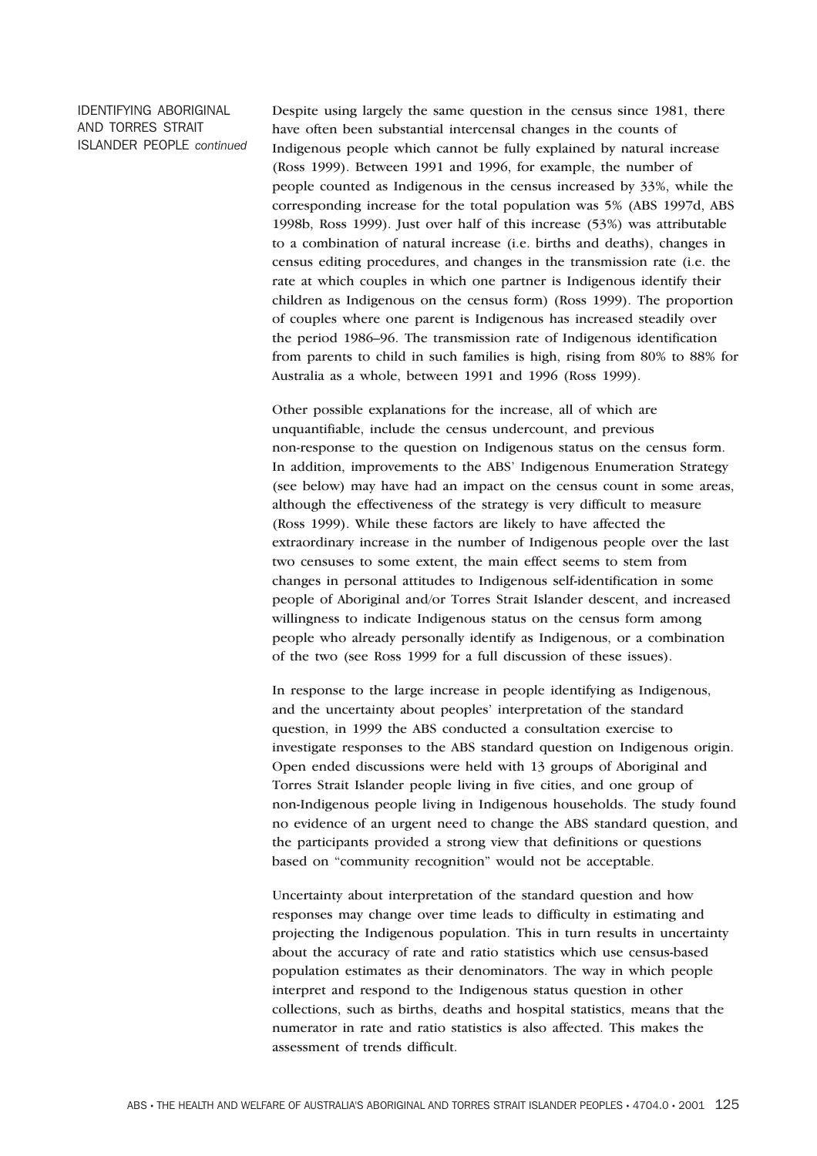IDENTIFYING ABORIGINAL AND TORRES STRAIT ISLANDER PEOPLE *continued* Despite using largely the same question in the census since 1981, there have often been substantial intercensal changes in the counts of Indigenous people which cannot be fully explained by natural increase (Ross 1999). Between 1991 and 1996, for example, the number of people counted as Indigenous in the census increased by 33%, while the corresponding increase for the total population was 5% (ABS 1997d, ABS 1998b, Ross 1999). Just over half of this increase (53%) was attributable to a combination of natural increase (i.e. births and deaths), changes in census editing procedures, and changes in the transmission rate (i.e. the rate at which couples in which one partner is Indigenous identify their children as Indigenous on the census form) (Ross 1999). The proportion of couples where one parent is Indigenous has increased steadily over the period 1986–96. The transmission rate of Indigenous identification from parents to child in such families is high, rising from 80% to 88% for Australia as a whole, between 1991 and 1996 (Ross 1999).

Other possible explanations for the increase, all of which are unquantifiable, include the census undercount, and previous non-response to the question on Indigenous status on the census form. In addition, improvements to the ABS' Indigenous Enumeration Strategy (see below) may have had an impact on the census count in some areas, although the effectiveness of the strategy is very difficult to measure (Ross 1999). While these factors are likely to have affected the extraordinary increase in the number of Indigenous people over the last two censuses to some extent, the main effect seems to stem from changes in personal attitudes to Indigenous self-identification in some people of Aboriginal and/or Torres Strait Islander descent, and increased willingness to indicate Indigenous status on the census form among people who already personally identify as Indigenous, or a combination of the two (see Ross 1999 for a full discussion of these issues).

In response to the large increase in people identifying as Indigenous, and the uncertainty about peoples' interpretation of the standard question, in 1999 the ABS conducted a consultation exercise to investigate responses to the ABS standard question on Indigenous origin. Open ended discussions were held with 13 groups of Aboriginal and Torres Strait Islander people living in five cities, and one group of non-Indigenous people living in Indigenous households. The study found no evidence of an urgent need to change the ABS standard question, and the participants provided a strong view that definitions or questions based on "community recognition" would not be acceptable.

Uncertainty about interpretation of the standard question and how responses may change over time leads to difficulty in estimating and projecting the Indigenous population. This in turn results in uncertainty about the accuracy of rate and ratio statistics which use census-based population estimates as their denominators. The way in which people interpret and respond to the Indigenous status question in other collections, such as births, deaths and hospital statistics, means that the numerator in rate and ratio statistics is also affected. This makes the assessment of trends difficult.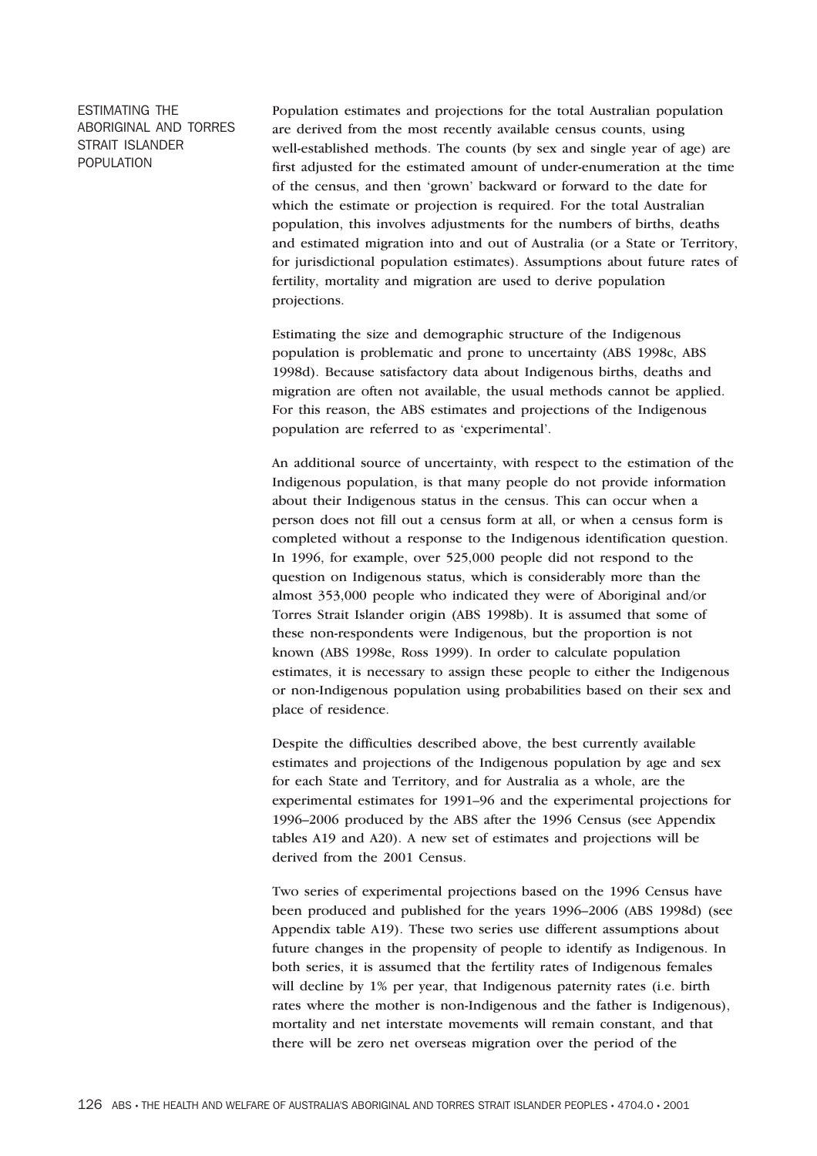# ESTIMATING THE ABORIGINAL AND TORRES STRAIT ISLANDER POPULATION

Population estimates and projections for the total Australian population are derived from the most recently available census counts, using well-established methods. The counts (by sex and single year of age) are first adjusted for the estimated amount of under-enumeration at the time of the census, and then 'grown' backward or forward to the date for which the estimate or projection is required. For the total Australian population, this involves adjustments for the numbers of births, deaths and estimated migration into and out of Australia (or a State or Territory, for jurisdictional population estimates). Assumptions about future rates of fertility, mortality and migration are used to derive population projections.

Estimating the size and demographic structure of the Indigenous population is problematic and prone to uncertainty (ABS 1998c, ABS 1998d). Because satisfactory data about Indigenous births, deaths and migration are often not available, the usual methods cannot be applied. For this reason, the ABS estimates and projections of the Indigenous population are referred to as 'experimental'.

An additional source of uncertainty, with respect to the estimation of the Indigenous population, is that many people do not provide information about their Indigenous status in the census. This can occur when a person does not fill out a census form at all, or when a census form is completed without a response to the Indigenous identification question. In 1996, for example, over 525,000 people did not respond to the question on Indigenous status, which is considerably more than the almost 353,000 people who indicated they were of Aboriginal and/or Torres Strait Islander origin (ABS 1998b). It is assumed that some of these non-respondents were Indigenous, but the proportion is not known (ABS 1998e, Ross 1999). In order to calculate population estimates, it is necessary to assign these people to either the Indigenous or non-Indigenous population using probabilities based on their sex and place of residence.

Despite the difficulties described above, the best currently available estimates and projections of the Indigenous population by age and sex for each State and Territory, and for Australia as a whole, are the experimental estimates for 1991–96 and the experimental projections for 1996–2006 produced by the ABS after the 1996 Census (see Appendix tables A19 and A20). A new set of estimates and projections will be derived from the 2001 Census.

Two series of experimental projections based on the 1996 Census have been produced and published for the years 1996–2006 (ABS 1998d) (see Appendix table A19). These two series use different assumptions about future changes in the propensity of people to identify as Indigenous. In both series, it is assumed that the fertility rates of Indigenous females will decline by 1% per year, that Indigenous paternity rates (i.e. birth rates where the mother is non-Indigenous and the father is Indigenous), mortality and net interstate movements will remain constant, and that there will be zero net overseas migration over the period of the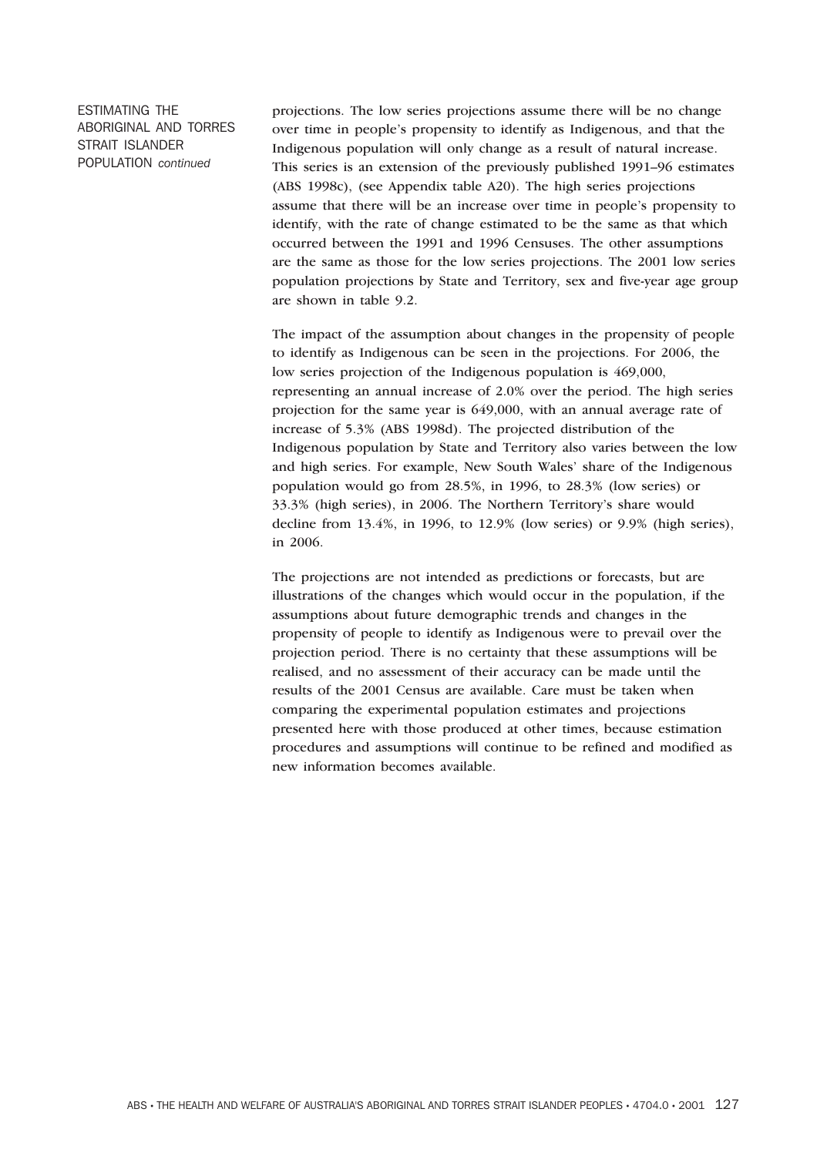ESTIMATING THE ABORIGINAL AND TORRES STRAIT ISLANDER POPULATION *continued*

projections. The low series projections assume there will be no change over time in people's propensity to identify as Indigenous, and that the Indigenous population will only change as a result of natural increase. This series is an extension of the previously published 1991–96 estimates (ABS 1998c), (see Appendix table A20). The high series projections assume that there will be an increase over time in people's propensity to identify, with the rate of change estimated to be the same as that which occurred between the 1991 and 1996 Censuses. The other assumptions are the same as those for the low series projections. The 2001 low series population projections by State and Territory, sex and five-year age group are shown in table 9.2.

The impact of the assumption about changes in the propensity of people to identify as Indigenous can be seen in the projections. For 2006, the low series projection of the Indigenous population is 469,000, representing an annual increase of 2.0% over the period. The high series projection for the same year is 649,000, with an annual average rate of increase of 5.3% (ABS 1998d). The projected distribution of the Indigenous population by State and Territory also varies between the low and high series. For example, New South Wales' share of the Indigenous population would go from 28.5%, in 1996, to 28.3% (low series) or 33.3% (high series), in 2006. The Northern Territory's share would decline from 13.4%, in 1996, to 12.9% (low series) or 9.9% (high series), in 2006.

The projections are not intended as predictions or forecasts, but are illustrations of the changes which would occur in the population, if the assumptions about future demographic trends and changes in the propensity of people to identify as Indigenous were to prevail over the projection period. There is no certainty that these assumptions will be realised, and no assessment of their accuracy can be made until the results of the 2001 Census are available. Care must be taken when comparing the experimental population estimates and projections presented here with those produced at other times, because estimation procedures and assumptions will continue to be refined and modified as new information becomes available.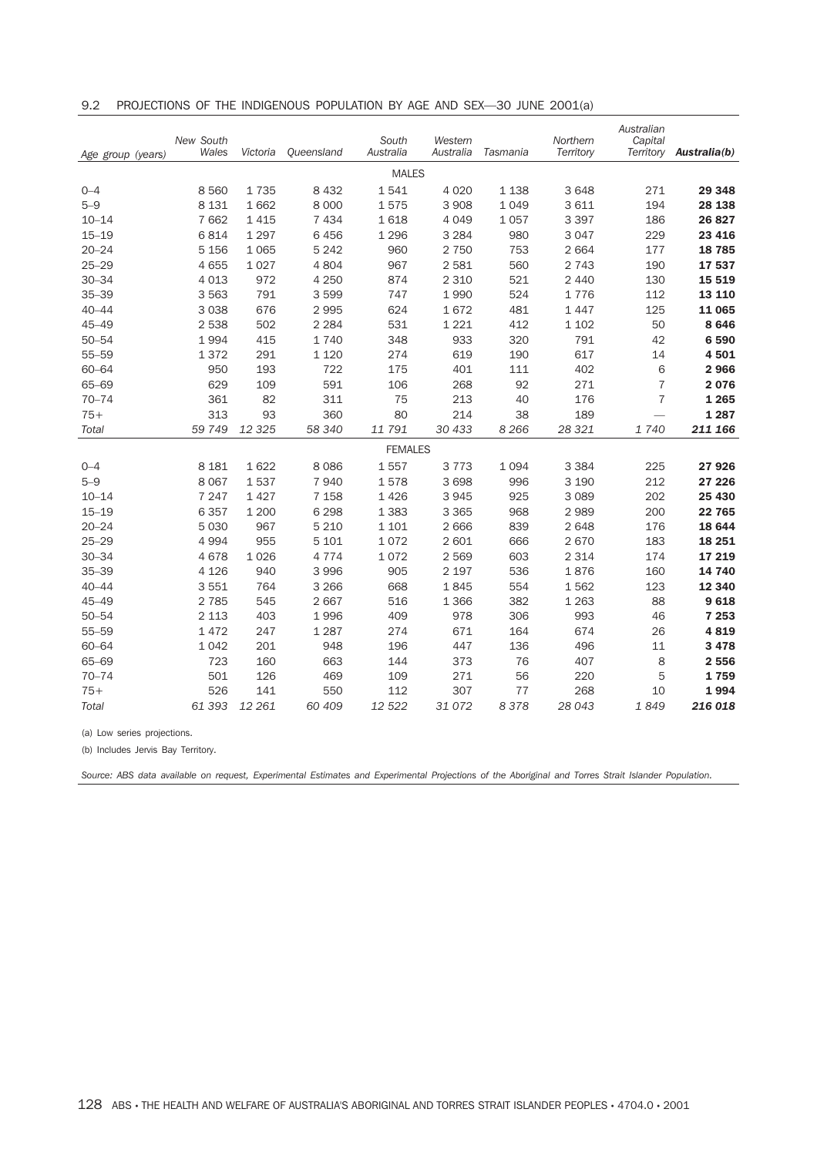|  | 9.2 PROJECTIONS OF THE INDIGENOUS POPULATION BY AGE AND SEX—30 JUNE 2001(a) |  |  |  |  |  |  |  |
|--|-----------------------------------------------------------------------------|--|--|--|--|--|--|--|
|--|-----------------------------------------------------------------------------|--|--|--|--|--|--|--|

| Age group (years) | New South<br>Wales | Victoria | Queensland | South<br>Australia | Western<br>Australia | Tasmania | Northern<br>Territory | Australian<br>Capital<br>Territory | Australia(b) |
|-------------------|--------------------|----------|------------|--------------------|----------------------|----------|-----------------------|------------------------------------|--------------|
|                   |                    |          |            | <b>MALES</b>       |                      |          |                       |                                    |              |
| $0 - 4$           | 8560               | 1735     | 8 4 3 2    | 1541               | 4 0 20               | 1 138    | 3 6 4 8               | 271                                | 29 348       |
| $5 - 9$           | 8 1 3 1            | 1662     | 8 0 0 0    | 1575               | 3 9 0 8              | 1 0 4 9  | 3 6 1 1               | 194                                | 28 138       |
| $10 - 14$         | 7 6 6 2            | 1 4 1 5  | 7 4 3 4    | 1618               | 4 0 4 9              | 1 0 5 7  | 3 3 9 7               | 186                                | 26 827       |
| $15 - 19$         | 6814               | 1 2 9 7  | 6 4 5 6    | 1 2 9 6            | 3 2 8 4              | 980      | 3 0 4 7               | 229                                | 23 4 16      |
| $20 - 24$         | 5 1 5 6            | 1 0 6 5  | 5 2 4 2    | 960                | 2 7 5 0              | 753      | 2 6 6 4               | 177                                | 18785        |
| $25 - 29$         | 4 6 5 5            | 1027     | 4 8 0 4    | 967                | 2 5 8 1              | 560      | 2 7 4 3               | 190                                | 17537        |
| $30 - 34$         | 4 0 1 3            | 972      | 4 2 5 0    | 874                | 2 3 1 0              | 521      | 2 4 4 0               | 130                                | 15 519       |
| $35 - 39$         | 3 5 6 3            | 791      | 3 5 9 9    | 747                | 1990                 | 524      | 1776                  | 112                                | 13 110       |
| $40 - 44$         | 3 0 3 8            | 676      | 2 9 9 5    | 624                | 1672                 | 481      | 1 4 4 7               | 125                                | 11 065       |
| $45 - 49$         | 2 5 3 8            | 502      | 2 2 8 4    | 531                | 1 2 2 1              | 412      | 1 1 0 2               | 50                                 | 8646         |
| $50 - 54$         | 1994               | 415      | 1 7 4 0    | 348                | 933                  | 320      | 791                   | 42                                 | 6590         |
| $55 - 59$         | 1372               | 291      | 1 1 2 0    | 274                | 619                  | 190      | 617                   | 14                                 | 4501         |
| $60 - 64$         | 950                | 193      | 722        | 175                | 401                  | 111      | 402                   | 6                                  | 2966         |
| $65 - 69$         | 629                | 109      | 591        | 106                | 268                  | 92       | 271                   | 7                                  | 2076         |
| $70 - 74$         | 361                | 82       | 311        | 75                 | 213                  | 40       | 176                   | 7                                  | 1 2 6 5      |
| $75+$             | 313                | 93       | 360        | 80                 | 214                  | 38       | 189                   |                                    | 1 2 8 7      |
| Total             | 59 749             | 12 3 25  | 58 340     | 11 791             | 30 433               | 8 2 6 6  | 28 3 21               | 1 740                              | 211 166      |
|                   |                    |          |            | <b>FEMALES</b>     |                      |          |                       |                                    |              |
| $0 - 4$           | 8 1 8 1            | 1622     | 8 0 8 6    | 1557               | 3 7 7 3              | 1 0 9 4  | 3 3 8 4               | 225                                | 27926        |
| $5 - 9$           | 8 0 6 7            | 1537     | 7940       | 1578               | 3 6 9 8              | 996      | 3 190                 | 212                                | 27 226       |
| $10 - 14$         | 7 2 4 7            | 1 4 2 7  | 7 1 5 8    | 1426               | 3945                 | 925      | 3 0 8 9               | 202                                | 25 430       |
| $15 - 19$         | 6 3 5 7            | 1 200    | 6 2 9 8    | 1 3 8 3            | 3 3 6 5              | 968      | 2 9 8 9               | 200                                | 22 765       |
| $20 - 24$         | 5 0 3 0            | 967      | 5 2 1 0    | 1 1 0 1            | 2 6 6 6              | 839      | 2 6 4 8               | 176                                | 18 644       |
| $25 - 29$         | 4 9 9 4            | 955      | 5 1 0 1    | 1072               | 2 601                | 666      | 2 670                 | 183                                | 18 25 1      |
| $30 - 34$         | 4678               | 1026     | 4 7 7 4    | 1072               | 2569                 | 603      | 2 3 1 4               | 174                                | 17 219       |
| $35 - 39$         | 4 1 2 6            | 940      | 3 9 9 6    | 905                | 2 1 9 7              | 536      | 1876                  | 160                                | 14 740       |
| $40 - 44$         | 3551               | 764      | 3 2 6 6    | 668                | 1845                 | 554      | 1562                  | 123                                | 12 340       |
| $45 - 49$         | 2 7 8 5            | 545      | 2 6 6 7    | 516                | 1 3 6 6              | 382      | 1 2 6 3               | 88                                 | 9618         |
| $50 - 54$         | 2 1 1 3            | 403      | 1996       | 409                | 978                  | 306      | 993                   | 46                                 | 7 2 5 3      |
| $55 - 59$         | 1472               | 247      | 1 2 8 7    | 274                | 671                  | 164      | 674                   | 26                                 | 4819         |
| $60 - 64$         | 1042               | 201      | 948        | 196                | 447                  | 136      | 496                   | 11                                 | 3 4 7 8      |
| $65 - 69$         | 723                | 160      | 663        | 144                | 373                  | 76       | 407                   | 8                                  | 2 5 5 6      |
| $70 - 74$         | 501                | 126      | 469        | 109                | 271                  | 56       | 220                   | 5                                  | 1759         |
| $75+$             | 526                | 141      | 550        | 112                | 307                  | 77       | 268                   | 10                                 | 1994         |
| Total             | 61 393             | 12 261   | 60 409     | 12 5 22            | 31 072               | 8378     | 28 043                | 1849                               | 216 018      |

(a) Low series projections.

(b) Includes Jervis Bay Territory.

*Source: ABS data available on request, Experimental Estimates and Experimental Projections of the Aboriginal and Torres Strait Islander Population.*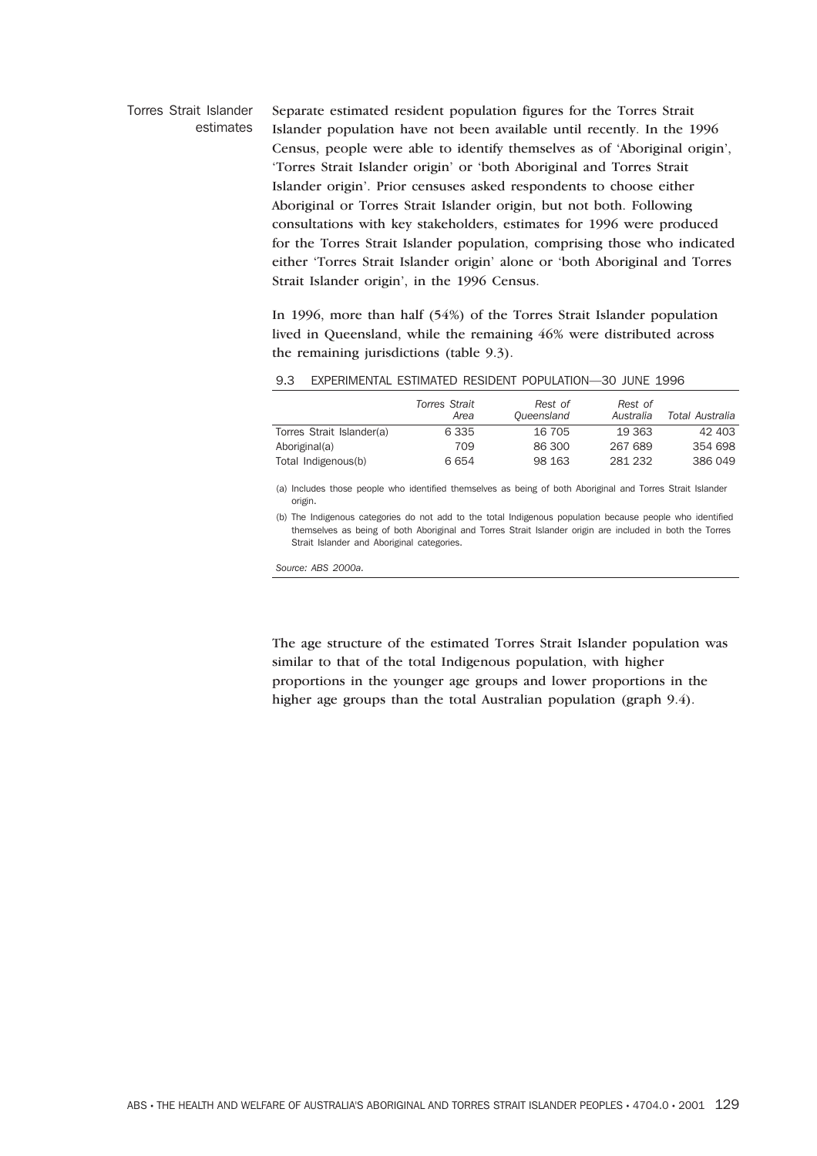# Torres Strait Islander estimates Separate estimated resident population figures for the Torres Strait Islander population have not been available until recently. In the 1996 Census, people were able to identify themselves as of 'Aboriginal origin', 'Torres Strait Islander origin' or 'both Aboriginal and Torres Strait Islander origin'. Prior censuses asked respondents to choose either Aboriginal or Torres Strait Islander origin, but not both. Following consultations with key stakeholders, estimates for 1996 were produced for the Torres Strait Islander population, comprising those who indicated either 'Torres Strait Islander origin' alone or 'both Aboriginal and Torres Strait Islander origin', in the 1996 Census.

In 1996, more than half (54%) of the Torres Strait Islander population lived in Queensland, while the remaining 46% were distributed across the remaining jurisdictions (table 9.3).

|  | 9.3     EXPERIMENTAL ESTIMATED RESIDENT POPULATION—30 JUNE 1996 |  |  |  |  |  |
|--|-----------------------------------------------------------------|--|--|--|--|--|
|--|-----------------------------------------------------------------|--|--|--|--|--|

|                           | Torres Strait<br>Area | Rest of<br>Queensland | Rest of<br>Australia | Total Australia |
|---------------------------|-----------------------|-----------------------|----------------------|-----------------|
| Torres Strait Islander(a) | 6 3 3 5               | 16 705                | 19 363               | 42 403          |
| Aboriginal(a)             | 709                   | 86 300                | 267 689              | 354 698         |
| Total Indigenous(b)       | 6654                  | 98 163                | 281 232              | 386 049         |

(a) Includes those people who identified themselves as being of both Aboriginal and Torres Strait Islander origin.

(b) The Indigenous categories do not add to the total Indigenous population because people who identified themselves as being of both Aboriginal and Torres Strait Islander origin are included in both the Torres Strait Islander and Aboriginal categories.

*Source: ABS 2000a.*

The age structure of the estimated Torres Strait Islander population was similar to that of the total Indigenous population, with higher proportions in the younger age groups and lower proportions in the higher age groups than the total Australian population (graph 9.4).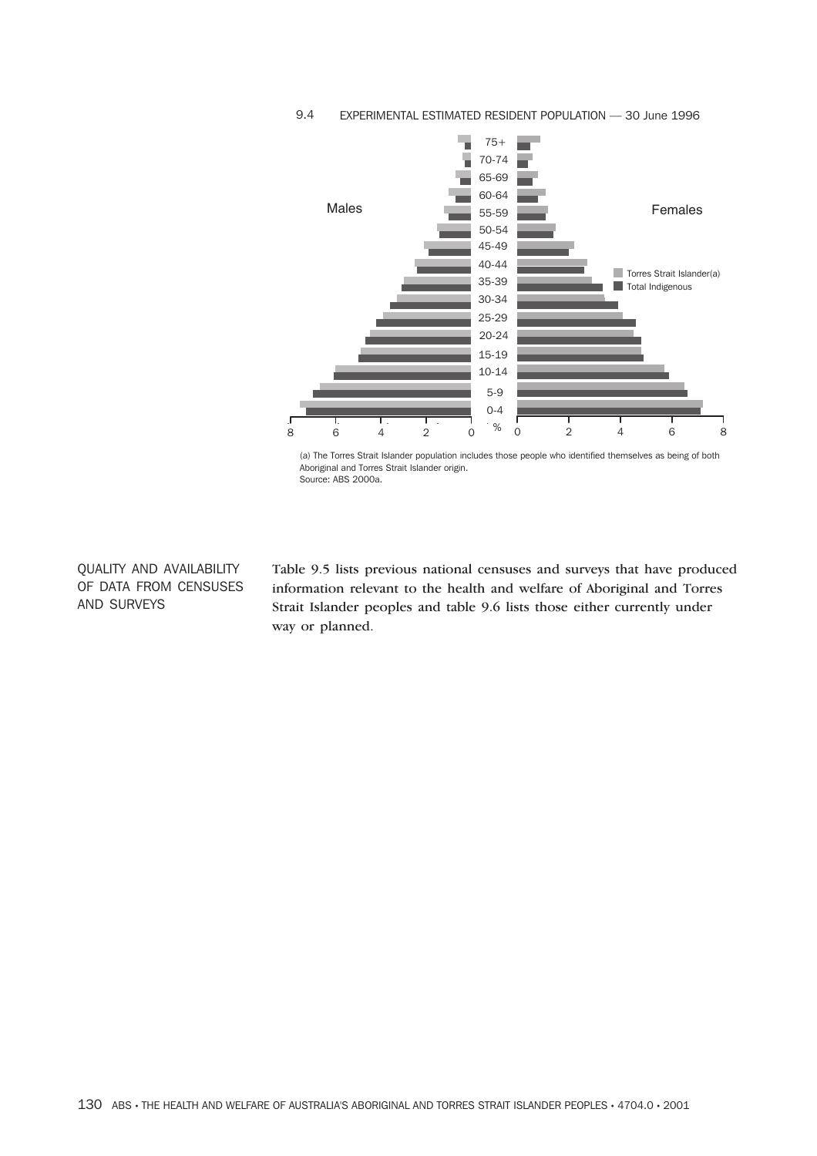

### 9.4 EXPERIMENTAL ESTIMATED RESIDENT POPULATION — 30 June 1996

(a) The Torres Strait Islander population includes those people who identified themselves as being of both Aboriginal and Torres Strait Islander origin. Source: ABS 2000a.

QUALITY AND AVAILABILITY OF DATA FROM CENSUSES AND SURVEYS

Table 9.5 lists previous national censuses and surveys that have produced information relevant to the health and welfare of Aboriginal and Torres Strait Islander peoples and table 9.6 lists those either currently under way or planned.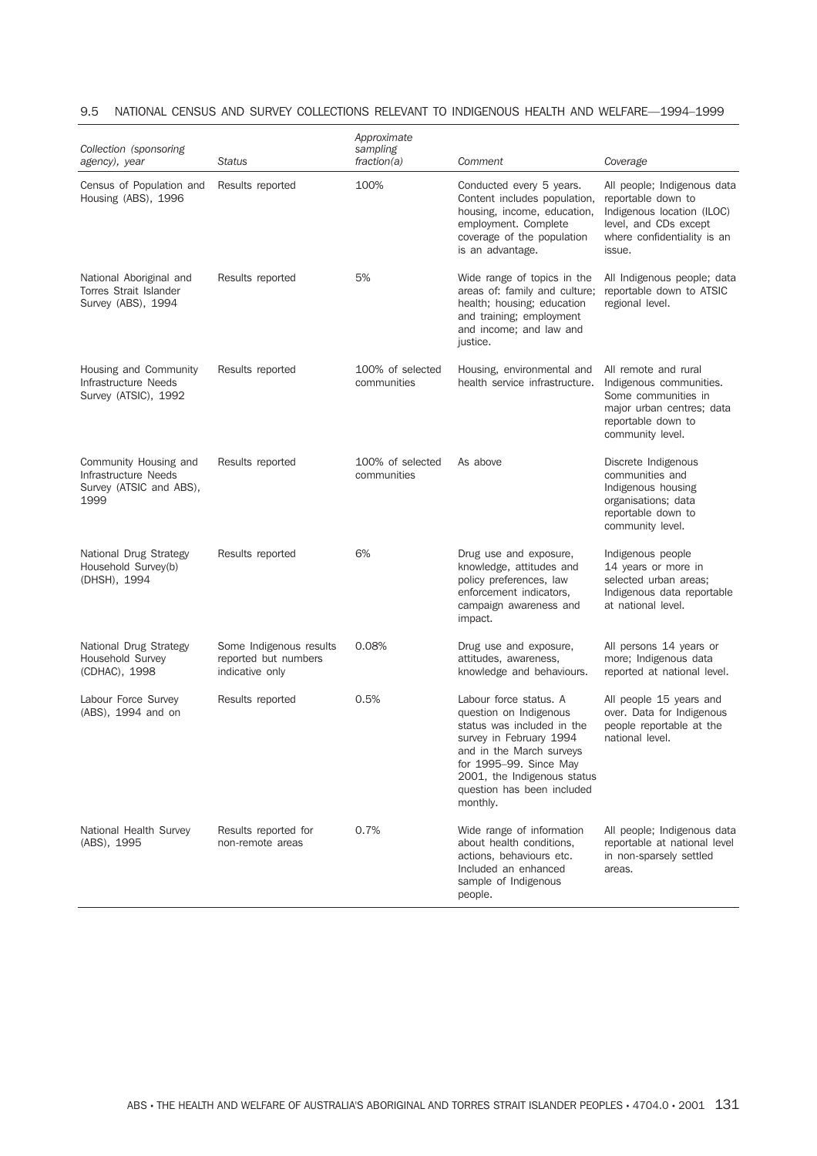| Collection (sponsoring<br>agency), year                                          | <b>Status</b>                                                      | Approximate<br>sampling<br>fraction(a) | Comment                                                                                                                                                                                                                                  | Coverage                                                                                                                                          |
|----------------------------------------------------------------------------------|--------------------------------------------------------------------|----------------------------------------|------------------------------------------------------------------------------------------------------------------------------------------------------------------------------------------------------------------------------------------|---------------------------------------------------------------------------------------------------------------------------------------------------|
| Census of Population and<br>Housing (ABS), 1996                                  | Results reported                                                   | 100%                                   | Conducted every 5 years.<br>Content includes population,<br>housing, income, education,<br>employment. Complete<br>coverage of the population<br>is an advantage.                                                                        | All people; Indigenous data<br>reportable down to<br>Indigenous location (ILOC)<br>level, and CDs except<br>where confidentiality is an<br>issue. |
| National Aboriginal and<br><b>Torres Strait Islander</b><br>Survey (ABS), 1994   | Results reported                                                   | 5%                                     | Wide range of topics in the<br>areas of: family and culture;<br>health; housing; education<br>and training; employment<br>and income; and law and<br>justice.                                                                            | All Indigenous people; data<br>reportable down to ATSIC<br>regional level.                                                                        |
| Housing and Community<br>Infrastructure Needs<br>Survey (ATSIC), 1992            | Results reported                                                   | 100% of selected<br>communities        | Housing, environmental and<br>health service infrastructure.                                                                                                                                                                             | All remote and rural<br>Indigenous communities.<br>Some communities in<br>major urban centres; data<br>reportable down to<br>community level.     |
| Community Housing and<br>Infrastructure Needs<br>Survey (ATSIC and ABS),<br>1999 | Results reported                                                   | 100% of selected<br>communities        | As above                                                                                                                                                                                                                                 | Discrete Indigenous<br>communities and<br>Indigenous housing<br>organisations; data<br>reportable down to<br>community level.                     |
| National Drug Strategy<br>Household Survey(b)<br>(DHSH), 1994                    | Results reported                                                   | 6%                                     | Drug use and exposure,<br>knowledge, attitudes and<br>policy preferences, law<br>enforcement indicators,<br>campaign awareness and<br>impact.                                                                                            | Indigenous people<br>14 years or more in<br>selected urban areas;<br>Indigenous data reportable<br>at national level.                             |
| National Drug Strategy<br>Household Survey<br>(CDHAC), 1998                      | Some Indigenous results<br>reported but numbers<br>indicative only | 0.08%                                  | Drug use and exposure,<br>attitudes, awareness,<br>knowledge and behaviours.                                                                                                                                                             | All persons 14 years or<br>more; Indigenous data<br>reported at national level.                                                                   |
| Labour Force Survey<br>(ABS), 1994 and on                                        | Results reported                                                   | 0.5%                                   | Labour force status. A<br>question on Indigenous<br>status was included in the<br>survey in February 1994<br>and in the March surveys<br>for 1995-99. Since May<br>2001, the Indigenous status<br>question has been included<br>monthly. | All people 15 years and<br>over. Data for Indigenous<br>people reportable at the<br>national level.                                               |
| National Health Survey<br>(ABS), 1995                                            | Results reported for<br>non-remote areas                           | 0.7%                                   | Wide range of information<br>about health conditions,<br>actions, behaviours etc.<br>Included an enhanced<br>sample of Indigenous<br>people.                                                                                             | All people; Indigenous data<br>reportable at national level<br>in non-sparsely settled<br>areas.                                                  |

# 9.5 NATIONAL CENSUS AND SURVEY COLLECTIONS RELEVANT TO INDIGENOUS HEALTH AND WELFARE—1994–1999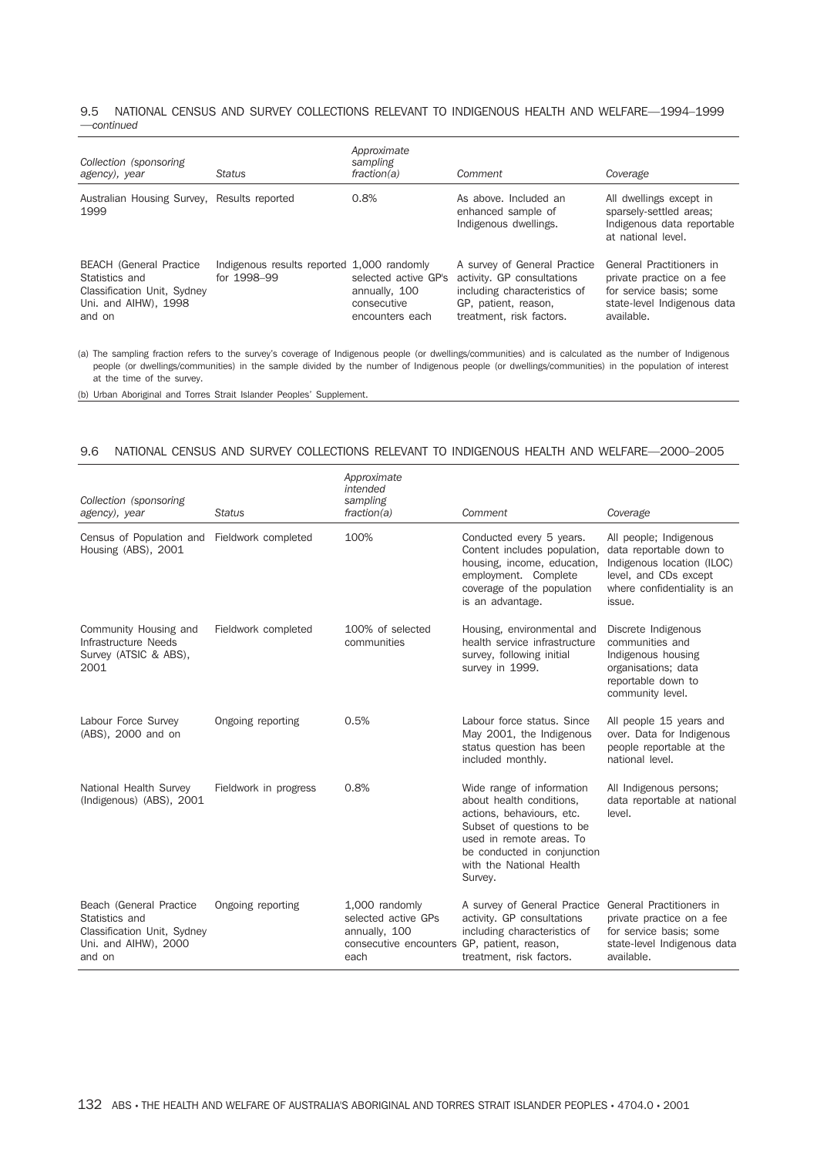#### 9.5 NATIONAL CENSUS AND SURVEY COLLECTIONS RELEVANT TO INDIGENOUS HEALTH AND WELFARE—1994–1999 —*continued*

| Collection (sponsoring<br>agency), year                                                                           | <b>Status</b>                                             | Approximate<br>sampling<br>fraction(a)                                  | Comment                                                                                                                                        | Coverage                                                                                                                      |
|-------------------------------------------------------------------------------------------------------------------|-----------------------------------------------------------|-------------------------------------------------------------------------|------------------------------------------------------------------------------------------------------------------------------------------------|-------------------------------------------------------------------------------------------------------------------------------|
| Australian Housing Survey, Results reported<br>1999                                                               |                                                           | 0.8%                                                                    | As above. Included an<br>enhanced sample of<br>Indigenous dwellings.                                                                           | All dwellings except in<br>sparsely-settled areas;<br>Indigenous data reportable<br>at national level.                        |
| <b>BEACH</b> (General Practice<br>Statistics and<br>Classification Unit, Sydney<br>Uni, and AIHW), 1998<br>and on | Indigenous results reported 1,000 randomly<br>for 1998-99 | selected active GP's<br>annually, 100<br>consecutive<br>encounters each | A survey of General Practice<br>activity. GP consultations<br>including characteristics of<br>GP, patient, reason,<br>treatment, risk factors. | General Practitioners in<br>private practice on a fee<br>for service basis: some<br>state-level Indigenous data<br>available. |

(a) The sampling fraction refers to the survey's coverage of Indigenous people (or dwellings/communities) and is calculated as the number of Indigenous people (or dwellings/communities) in the sample divided by the number of Indigenous people (or dwellings/communities) in the population of interest at the time of the survey.

(b) Urban Aboriginal and Torres Strait Islander Peoples' Supplement.

#### 9.6 NATIONAL CENSUS AND SURVEY COLLECTIONS RELEVANT TO INDIGENOUS HEALTH AND WELFARE—2000–2005

| Collection (sponsoring<br>agency), year                                                                    | <b>Status</b>         | Approximate<br>intended<br>sampling<br>fraction(a)                                                            | Comment                                                                                                                                                                                                           | Coverage                                                                                                                                          |
|------------------------------------------------------------------------------------------------------------|-----------------------|---------------------------------------------------------------------------------------------------------------|-------------------------------------------------------------------------------------------------------------------------------------------------------------------------------------------------------------------|---------------------------------------------------------------------------------------------------------------------------------------------------|
| Census of Population and Fieldwork completed<br>Housing (ABS), 2001                                        |                       | 100%                                                                                                          | Conducted every 5 years.<br>Content includes population,<br>housing, income, education,<br>employment. Complete<br>coverage of the population<br>is an advantage.                                                 | All people; Indigenous<br>data reportable down to<br>Indigenous location (ILOC)<br>level, and CDs except<br>where confidentiality is an<br>issue. |
| Community Housing and<br>Infrastructure Needs<br>Survey (ATSIC & ABS),<br>2001                             | Fieldwork completed   | 100% of selected<br>communities                                                                               | Housing, environmental and<br>health service infrastructure<br>survey, following initial<br>survey in 1999.                                                                                                       | Discrete Indigenous<br>communities and<br>Indigenous housing<br>organisations; data<br>reportable down to<br>community level.                     |
| Labour Force Survey<br>(ABS), 2000 and on                                                                  | Ongoing reporting     | 0.5%                                                                                                          | Labour force status. Since<br>May 2001, the Indigenous<br>status question has been<br>included monthly.                                                                                                           | All people 15 years and<br>over. Data for Indigenous<br>people reportable at the<br>national level.                                               |
| National Health Survey<br>(Indigenous) (ABS), 2001                                                         | Fieldwork in progress | 0.8%                                                                                                          | Wide range of information<br>about health conditions,<br>actions, behaviours, etc.<br>Subset of questions to be<br>used in remote areas. To<br>be conducted in conjunction<br>with the National Health<br>Survey. | All Indigenous persons;<br>data reportable at national<br>level.                                                                                  |
| Beach (General Practice<br>Statistics and<br>Classification Unit, Sydney<br>Uni. and AlHW), 2000<br>and on | Ongoing reporting     | 1,000 randomly<br>selected active GPs<br>annually, 100<br>consecutive encounters GP, patient, reason,<br>each | A survey of General Practice<br>activity. GP consultations<br>including characteristics of<br>treatment, risk factors.                                                                                            | General Practitioners in<br>private practice on a fee<br>for service basis; some<br>state-level Indigenous data<br>available.                     |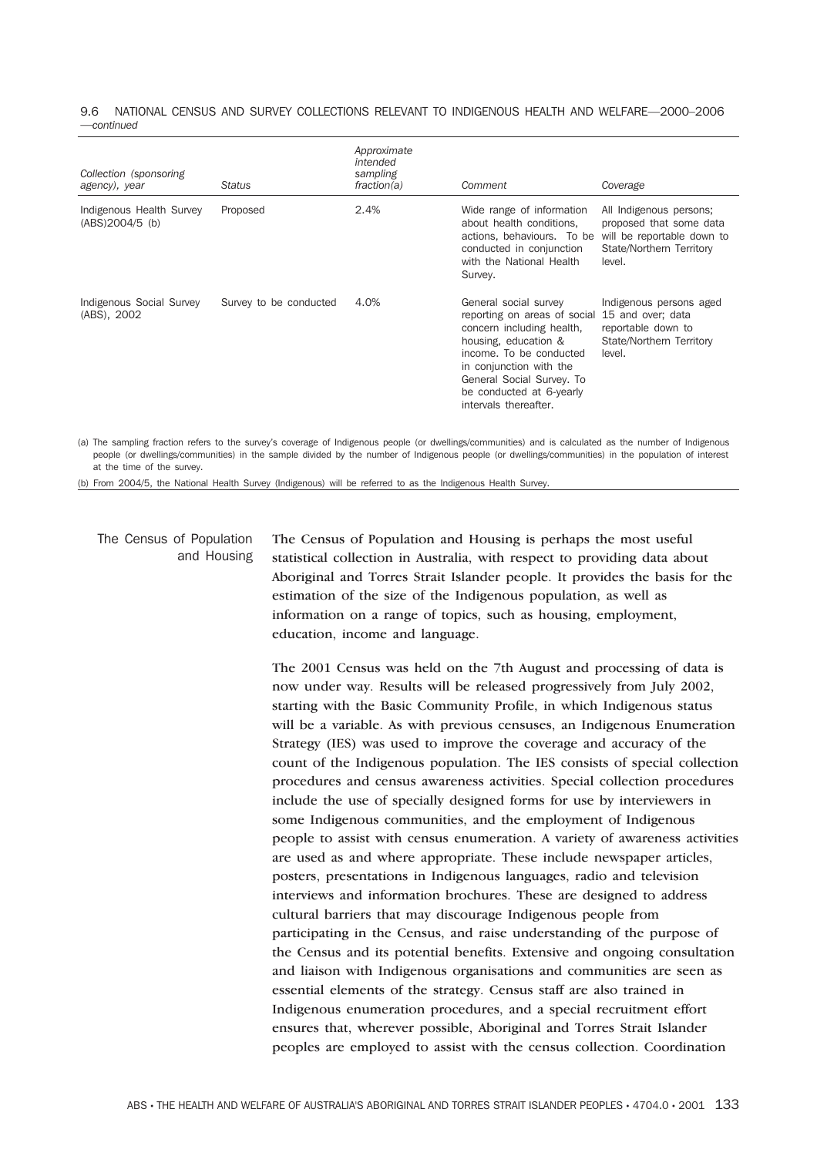#### 9.6 NATIONAL CENSUS AND SURVEY COLLECTIONS RELEVANT TO INDIGENOUS HEALTH AND WELFARE—2000–2006 —*continued*

| Collection (sponsoring<br>agency), year     | Status                 | Approximate<br>intended<br>sampling<br>fraction(a) | Comment                                                                                                                                                                                                                                            | Coverage                                                                                                               |
|---------------------------------------------|------------------------|----------------------------------------------------|----------------------------------------------------------------------------------------------------------------------------------------------------------------------------------------------------------------------------------------------------|------------------------------------------------------------------------------------------------------------------------|
| Indigenous Health Survey<br>(ABS)2004/5 (b) | Proposed               | 2.4%                                               | Wide range of information<br>about health conditions,<br>actions, behaviours. To be<br>conducted in conjunction<br>with the National Health<br>Survey.                                                                                             | All Indigenous persons;<br>proposed that some data<br>will be reportable down to<br>State/Northern Territory<br>level. |
| Indigenous Social Survey<br>(ABS), 2002     | Survey to be conducted | 4.0%                                               | General social survey<br>reporting on areas of social<br>concern including health,<br>housing, education &<br>income. To be conducted<br>in conjunction with the<br>General Social Survey. To<br>be conducted at 6-yearly<br>intervals thereafter. | Indigenous persons aged<br>15 and over; data<br>reportable down to<br>State/Northern Territory<br>level.               |

(a) The sampling fraction refers to the survey's coverage of Indigenous people (or dwellings/communities) and is calculated as the number of Indigenous people (or dwellings/communities) in the sample divided by the number of Indigenous people (or dwellings/communities) in the population of interest at the time of the survey.

(b) From 2004/5, the National Health Survey (Indigenous) will be referred to as the Indigenous Health Survey.

# The Census of Population and Housing

The Census of Population and Housing is perhaps the most useful statistical collection in Australia, with respect to providing data about Aboriginal and Torres Strait Islander people. It provides the basis for the estimation of the size of the Indigenous population, as well as information on a range of topics, such as housing, employment, education, income and language.

The 2001 Census was held on the 7th August and processing of data is now under way. Results will be released progressively from July 2002, starting with the Basic Community Profile, in which Indigenous status will be a variable. As with previous censuses, an Indigenous Enumeration Strategy (IES) was used to improve the coverage and accuracy of the count of the Indigenous population. The IES consists of special collection procedures and census awareness activities. Special collection procedures include the use of specially designed forms for use by interviewers in some Indigenous communities, and the employment of Indigenous people to assist with census enumeration. A variety of awareness activities are used as and where appropriate. These include newspaper articles, posters, presentations in Indigenous languages, radio and television interviews and information brochures. These are designed to address cultural barriers that may discourage Indigenous people from participating in the Census, and raise understanding of the purpose of the Census and its potential benefits. Extensive and ongoing consultation and liaison with Indigenous organisations and communities are seen as essential elements of the strategy. Census staff are also trained in Indigenous enumeration procedures, and a special recruitment effort ensures that, wherever possible, Aboriginal and Torres Strait Islander peoples are employed to assist with the census collection. Coordination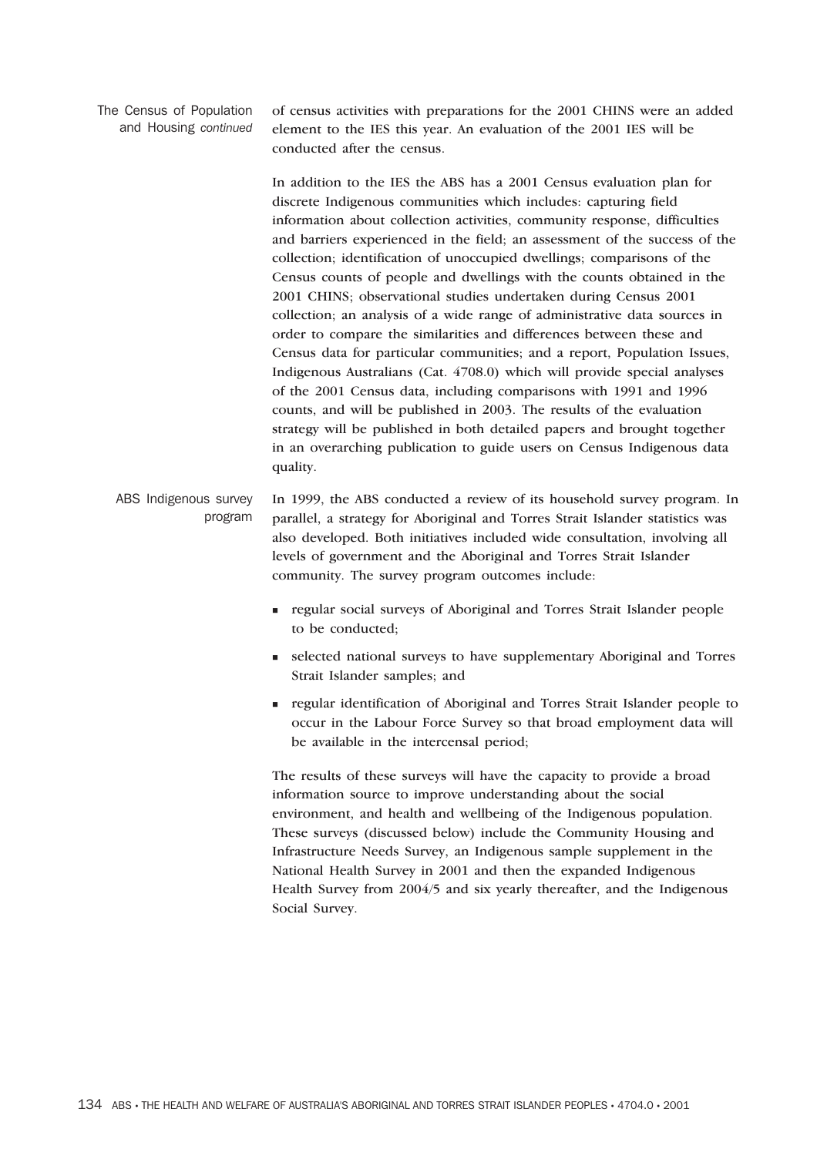The Census of Population and Housing *continued*

of census activities with preparations for the 2001 CHINS were an added element to the IES this year. An evaluation of the 2001 IES will be conducted after the census.

In addition to the IES the ABS has a 2001 Census evaluation plan for discrete Indigenous communities which includes: capturing field information about collection activities, community response, difficulties and barriers experienced in the field; an assessment of the success of the collection; identification of unoccupied dwellings; comparisons of the Census counts of people and dwellings with the counts obtained in the 2001 CHINS; observational studies undertaken during Census 2001 collection; an analysis of a wide range of administrative data sources in order to compare the similarities and differences between these and Census data for particular communities; and a report, Population Issues, Indigenous Australians (Cat. 4708.0) which will provide special analyses of the 2001 Census data, including comparisons with 1991 and 1996 counts, and will be published in 2003. The results of the evaluation strategy will be published in both detailed papers and brought together in an overarching publication to guide users on Census Indigenous data quality.

ABS Indigenous survey program In 1999, the ABS conducted a review of its household survey program. In parallel, a strategy for Aboriginal and Torres Strait Islander statistics was also developed. Both initiatives included wide consultation, involving all levels of government and the Aboriginal and Torres Strait Islander community. The survey program outcomes include:

- regular social surveys of Aboriginal and Torres Strait Islander people to be conducted;
- selected national surveys to have supplementary Aboriginal and Torres Strait Islander samples; and
- regular identification of Aboriginal and Torres Strait Islander people to occur in the Labour Force Survey so that broad employment data will be available in the intercensal period;

The results of these surveys will have the capacity to provide a broad information source to improve understanding about the social environment, and health and wellbeing of the Indigenous population. These surveys (discussed below) include the Community Housing and Infrastructure Needs Survey, an Indigenous sample supplement in the National Health Survey in 2001 and then the expanded Indigenous Health Survey from 2004/5 and six yearly thereafter, and the Indigenous Social Survey.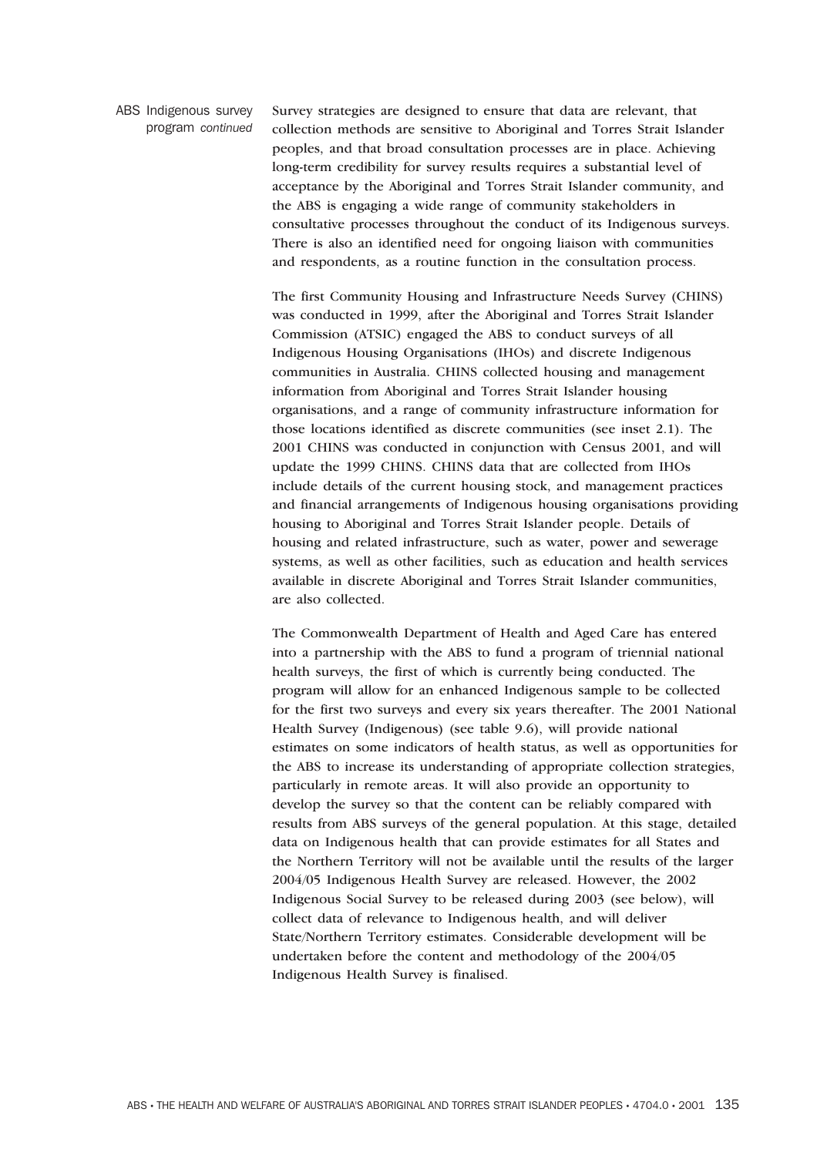ABS Indigenous survey program *continued*

Survey strategies are designed to ensure that data are relevant, that collection methods are sensitive to Aboriginal and Torres Strait Islander peoples, and that broad consultation processes are in place. Achieving long-term credibility for survey results requires a substantial level of acceptance by the Aboriginal and Torres Strait Islander community, and the ABS is engaging a wide range of community stakeholders in consultative processes throughout the conduct of its Indigenous surveys. There is also an identified need for ongoing liaison with communities and respondents, as a routine function in the consultation process.

The first Community Housing and Infrastructure Needs Survey (CHINS) was conducted in 1999, after the Aboriginal and Torres Strait Islander Commission (ATSIC) engaged the ABS to conduct surveys of all Indigenous Housing Organisations (IHOs) and discrete Indigenous communities in Australia. CHINS collected housing and management information from Aboriginal and Torres Strait Islander housing organisations, and a range of community infrastructure information for those locations identified as discrete communities (see inset 2.1). The 2001 CHINS was conducted in conjunction with Census 2001, and will update the 1999 CHINS. CHINS data that are collected from IHOs include details of the current housing stock, and management practices and financial arrangements of Indigenous housing organisations providing housing to Aboriginal and Torres Strait Islander people. Details of housing and related infrastructure, such as water, power and sewerage systems, as well as other facilities, such as education and health services available in discrete Aboriginal and Torres Strait Islander communities, are also collected.

The Commonwealth Department of Health and Aged Care has entered into a partnership with the ABS to fund a program of triennial national health surveys, the first of which is currently being conducted. The program will allow for an enhanced Indigenous sample to be collected for the first two surveys and every six years thereafter. The 2001 National Health Survey (Indigenous) (see table 9.6), will provide national estimates on some indicators of health status, as well as opportunities for the ABS to increase its understanding of appropriate collection strategies, particularly in remote areas. It will also provide an opportunity to develop the survey so that the content can be reliably compared with results from ABS surveys of the general population. At this stage, detailed data on Indigenous health that can provide estimates for all States and the Northern Territory will not be available until the results of the larger 2004/05 Indigenous Health Survey are released. However, the 2002 Indigenous Social Survey to be released during 2003 (see below), will collect data of relevance to Indigenous health, and will deliver State/Northern Territory estimates. Considerable development will be undertaken before the content and methodology of the 2004/05 Indigenous Health Survey is finalised.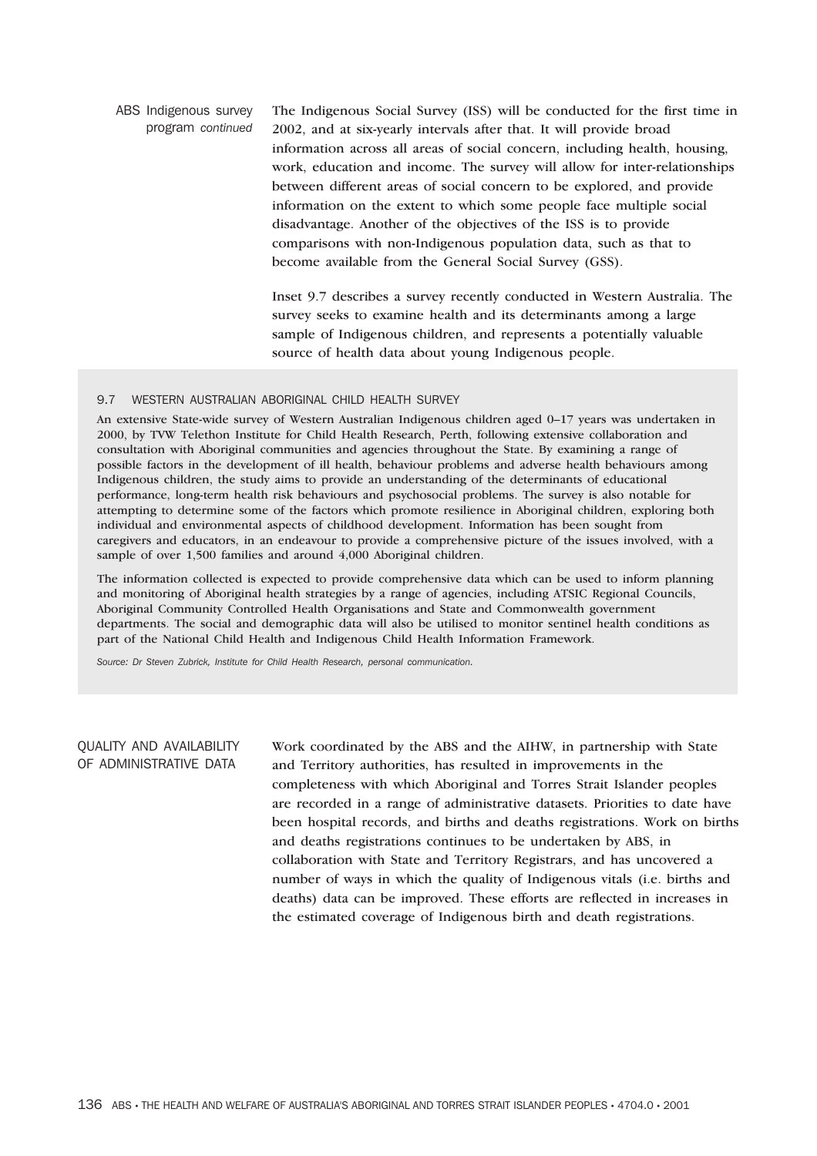ABS Indigenous survey program *continued* The Indigenous Social Survey (ISS) will be conducted for the first time in 2002, and at six-yearly intervals after that. It will provide broad information across all areas of social concern, including health, housing, work, education and income. The survey will allow for inter-relationships between different areas of social concern to be explored, and provide information on the extent to which some people face multiple social disadvantage. Another of the objectives of the ISS is to provide comparisons with non-Indigenous population data, such as that to become available from the General Social Survey (GSS).

> Inset 9.7 describes a survey recently conducted in Western Australia. The survey seeks to examine health and its determinants among a large sample of Indigenous children, and represents a potentially valuable source of health data about young Indigenous people.

#### 9.7 WESTERN AUSTRALIAN ABORIGINAL CHILD HEALTH SURVEY

An extensive State-wide survey of Western Australian Indigenous children aged 0–17 years was undertaken in 2000, by TVW Telethon Institute for Child Health Research, Perth, following extensive collaboration and consultation with Aboriginal communities and agencies throughout the State. By examining a range of possible factors in the development of ill health, behaviour problems and adverse health behaviours among Indigenous children, the study aims to provide an understanding of the determinants of educational performance, long-term health risk behaviours and psychosocial problems. The survey is also notable for attempting to determine some of the factors which promote resilience in Aboriginal children, exploring both individual and environmental aspects of childhood development. Information has been sought from caregivers and educators, in an endeavour to provide a comprehensive picture of the issues involved, with a sample of over 1,500 families and around 4,000 Aboriginal children.

The information collected is expected to provide comprehensive data which can be used to inform planning and monitoring of Aboriginal health strategies by a range of agencies, including ATSIC Regional Councils, Aboriginal Community Controlled Health Organisations and State and Commonwealth government departments. The social and demographic data will also be utilised to monitor sentinel health conditions as part of the National Child Health and Indigenous Child Health Information Framework.

*Source: Dr Steven Zubrick, Institute for Child Health Research, personal communication.*

# QUALITY AND AVAILABILITY OF ADMINISTRATIVE DATA

Work coordinated by the ABS and the AIHW, in partnership with State and Territory authorities, has resulted in improvements in the completeness with which Aboriginal and Torres Strait Islander peoples are recorded in a range of administrative datasets. Priorities to date have been hospital records, and births and deaths registrations. Work on births and deaths registrations continues to be undertaken by ABS, in collaboration with State and Territory Registrars, and has uncovered a number of ways in which the quality of Indigenous vitals (i.e. births and deaths) data can be improved. These efforts are reflected in increases in the estimated coverage of Indigenous birth and death registrations.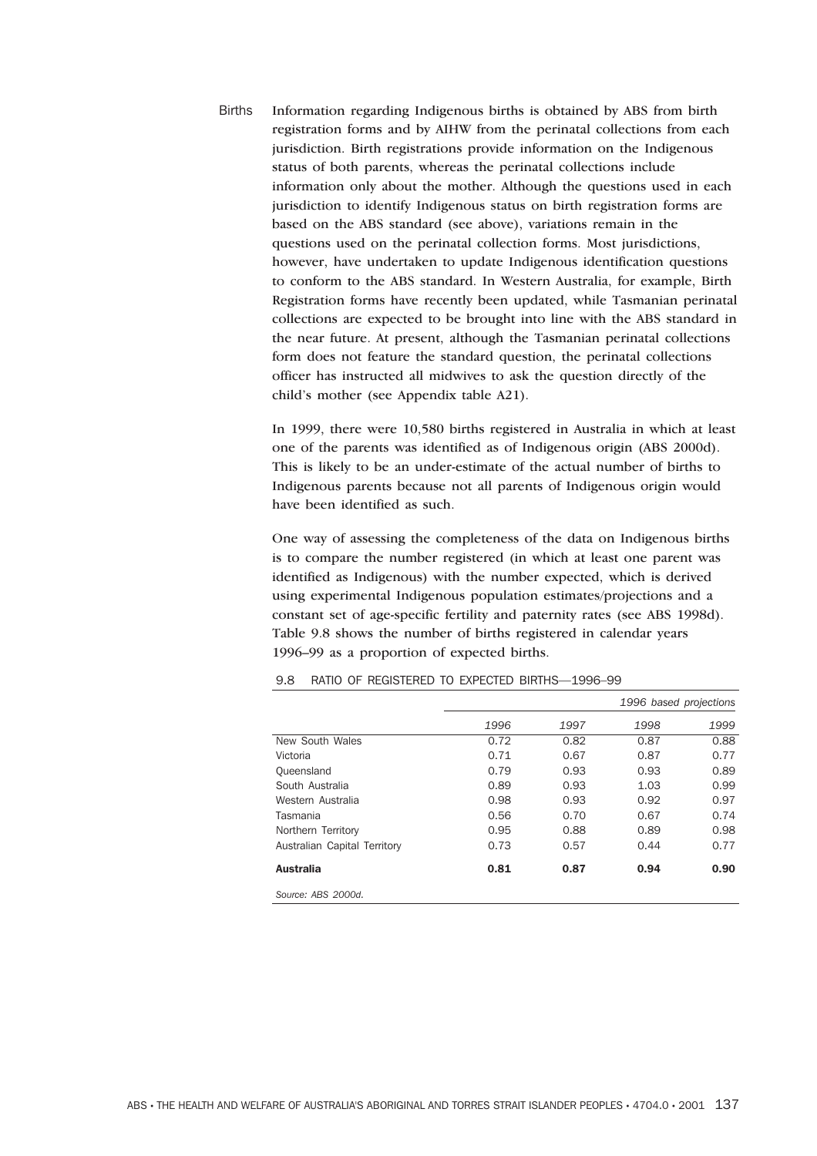Births Information regarding Indigenous births is obtained by ABS from birth registration forms and by AIHW from the perinatal collections from each jurisdiction. Birth registrations provide information on the Indigenous status of both parents, whereas the perinatal collections include information only about the mother. Although the questions used in each jurisdiction to identify Indigenous status on birth registration forms are based on the ABS standard (see above), variations remain in the questions used on the perinatal collection forms. Most jurisdictions, however, have undertaken to update Indigenous identification questions to conform to the ABS standard. In Western Australia, for example, Birth Registration forms have recently been updated, while Tasmanian perinatal collections are expected to be brought into line with the ABS standard in the near future. At present, although the Tasmanian perinatal collections form does not feature the standard question, the perinatal collections officer has instructed all midwives to ask the question directly of the child's mother (see Appendix table A21).

> In 1999, there were 10,580 births registered in Australia in which at least one of the parents was identified as of Indigenous origin (ABS 2000d). This is likely to be an under-estimate of the actual number of births to Indigenous parents because not all parents of Indigenous origin would have been identified as such.

One way of assessing the completeness of the data on Indigenous births is to compare the number registered (in which at least one parent was identified as Indigenous) with the number expected, which is derived using experimental Indigenous population estimates/projections and a constant set of age-specific fertility and paternity rates (see ABS 1998d). Table 9.8 shows the number of births registered in calendar years 1996–99 as a proportion of expected births.

|                              |      |      |      | 1996 based projections |
|------------------------------|------|------|------|------------------------|
|                              | 1996 | 1997 | 1998 | 1999                   |
| New South Wales              | 0.72 | 0.82 | 0.87 | 0.88                   |
| Victoria                     | 0.71 | 0.67 | 0.87 | 0.77                   |
| Queensland                   | 0.79 | 0.93 | 0.93 | 0.89                   |
| South Australia              | 0.89 | 0.93 | 1.03 | 0.99                   |
| Western Australia            | 0.98 | 0.93 | 0.92 | 0.97                   |
| Tasmania                     | 0.56 | 0.70 | 0.67 | 0.74                   |
| Northern Territory           | 0.95 | 0.88 | 0.89 | 0.98                   |
| Australian Capital Territory | 0.73 | 0.57 | 0.44 | 0.77                   |
| <b>Australia</b>             | 0.81 | 0.87 | 0.94 | 0.90                   |
| Source: ABS 2000d.           |      |      |      |                        |

#### 9.8 RATIO OF REGISTERED TO EXPECTED BIRTHS—1996–99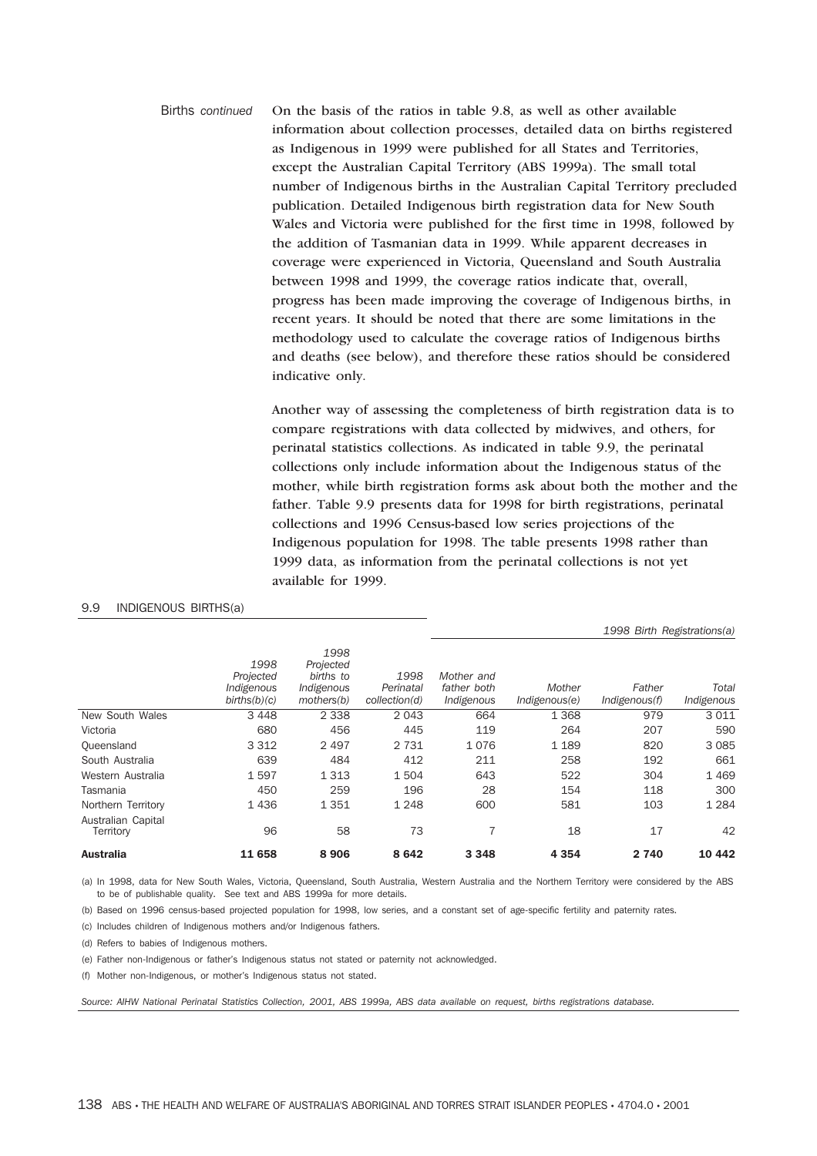Births *continued* On the basis of the ratios in table 9.8, as well as other available information about collection processes, detailed data on births registered as Indigenous in 1999 were published for all States and Territories, except the Australian Capital Territory (ABS 1999a). The small total number of Indigenous births in the Australian Capital Territory precluded publication. Detailed Indigenous birth registration data for New South Wales and Victoria were published for the first time in 1998, followed by the addition of Tasmanian data in 1999. While apparent decreases in coverage were experienced in Victoria, Queensland and South Australia between 1998 and 1999, the coverage ratios indicate that, overall, progress has been made improving the coverage of Indigenous births, in recent years. It should be noted that there are some limitations in the methodology used to calculate the coverage ratios of Indigenous births and deaths (see below), and therefore these ratios should be considered indicative only.

> Another way of assessing the completeness of birth registration data is to compare registrations with data collected by midwives, and others, for perinatal statistics collections. As indicated in table 9.9, the perinatal collections only include information about the Indigenous status of the mother, while birth registration forms ask about both the mother and the father. Table 9.9 presents data for 1998 for birth registrations, perinatal collections and 1996 Census-based low series projections of the Indigenous population for 1998. The table presents 1998 rather than 1999 data, as information from the perinatal collections is not yet available for 1999.

|                                 |                                                 |                                                            |                                    |                                         |                         | 1998 Birth Registrations(a) |                     |
|---------------------------------|-------------------------------------------------|------------------------------------------------------------|------------------------------------|-----------------------------------------|-------------------------|-----------------------------|---------------------|
|                                 | 1998<br>Projected<br>Indigenous<br>births(b)(c) | 1998<br>Projected<br>births to<br>Indigenous<br>mothers(b) | 1998<br>Perinatal<br>collection(d) | Mother and<br>father both<br>Indigenous | Mother<br>Indigenous(e) | Father<br>Indigenous(f)     | Total<br>Indigenous |
| New South Wales                 | 3 4 4 8                                         | 2 3 3 8                                                    | 2 0 4 3                            | 664                                     | 1 3 6 8                 | 979                         | 3011                |
| Victoria                        | 680                                             | 456                                                        | 445                                | 119                                     | 264                     | 207                         | 590                 |
| Queensland                      | 3 3 1 2                                         | 2 4 9 7                                                    | 2 7 3 1                            | 1076                                    | 1 1 8 9                 | 820                         | 3 0 8 5             |
| South Australia                 | 639                                             | 484                                                        | 412                                | 211                                     | 258                     | 192                         | 661                 |
| Western Australia               | 1597                                            | 1 3 1 3                                                    | 1504                               | 643                                     | 522                     | 304                         | 1469                |
| Tasmania                        | 450                                             | 259                                                        | 196                                | 28                                      | 154                     | 118                         | 300                 |
| Northern Territory              | 1436                                            | 1351                                                       | 1 2 4 8                            | 600                                     | 581                     | 103                         | 1 2 8 4             |
| Australian Capital<br>Territory | 96                                              | 58                                                         | 73                                 |                                         | 18                      | 17                          | 42                  |
| <b>Australia</b>                | 11 658                                          | 8906                                                       | 8642                               | 3 3 4 8                                 | 4 3 5 4                 | 2 740                       | 10 442              |

## 9.9 INDIGENOUS BIRTHS(a)

(a) In 1998, data for New South Wales, Victoria, Queensland, South Australia, Western Australia and the Northern Territory were considered by the ABS to be of publishable quality. See text and ABS 1999a for more details.

(b) Based on 1996 census-based projected population for 1998, low series, and a constant set of age-specific fertility and paternity rates.

(c) Includes children of Indigenous mothers and/or Indigenous fathers.

(d) Refers to babies of Indigenous mothers.

(e) Father non-Indigenous or father's Indigenous status not stated or paternity not acknowledged.

(f) Mother non-Indigenous, or mother's Indigenous status not stated.

*Source: AIHW National Perinatal Statistics Collection, 2001, ABS 1999a, ABS data available on request, births registrations database.*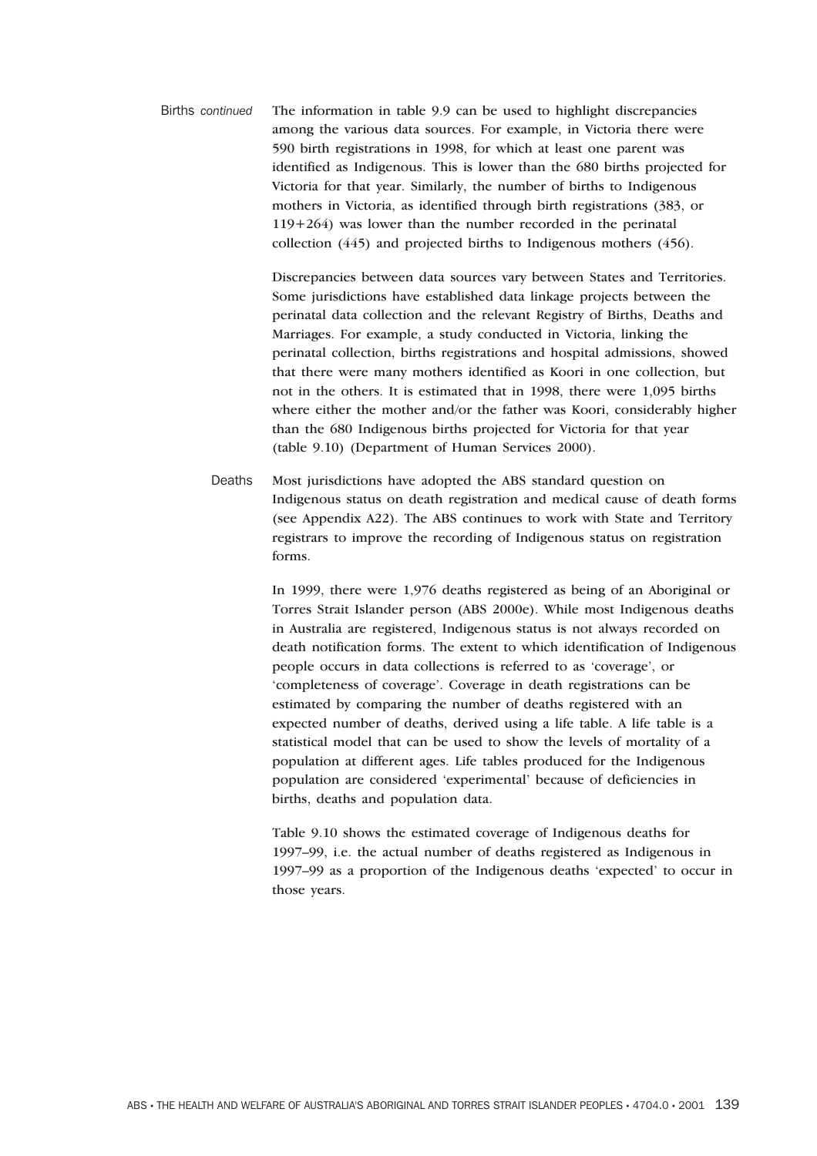Births *continued* The information in table 9.9 can be used to highlight discrepancies among the various data sources. For example, in Victoria there were 590 birth registrations in 1998, for which at least one parent was identified as Indigenous. This is lower than the 680 births projected for Victoria for that year. Similarly, the number of births to Indigenous mothers in Victoria, as identified through birth registrations (383, or 119+264) was lower than the number recorded in the perinatal collection (445) and projected births to Indigenous mothers (456).

> Discrepancies between data sources vary between States and Territories. Some jurisdictions have established data linkage projects between the perinatal data collection and the relevant Registry of Births, Deaths and Marriages. For example, a study conducted in Victoria, linking the perinatal collection, births registrations and hospital admissions, showed that there were many mothers identified as Koori in one collection, but not in the others. It is estimated that in 1998, there were 1,095 births where either the mother and/or the father was Koori, considerably higher than the 680 Indigenous births projected for Victoria for that year (table 9.10) (Department of Human Services 2000).

Deaths Most jurisdictions have adopted the ABS standard question on Indigenous status on death registration and medical cause of death forms (see Appendix A22). The ABS continues to work with State and Territory registrars to improve the recording of Indigenous status on registration forms.

> In 1999, there were 1,976 deaths registered as being of an Aboriginal or Torres Strait Islander person (ABS 2000e). While most Indigenous deaths in Australia are registered, Indigenous status is not always recorded on death notification forms. The extent to which identification of Indigenous people occurs in data collections is referred to as 'coverage', or 'completeness of coverage'. Coverage in death registrations can be estimated by comparing the number of deaths registered with an expected number of deaths, derived using a life table. A life table is a statistical model that can be used to show the levels of mortality of a population at different ages. Life tables produced for the Indigenous population are considered 'experimental' because of deficiencies in births, deaths and population data.

> Table 9.10 shows the estimated coverage of Indigenous deaths for 1997–99, i.e. the actual number of deaths registered as Indigenous in 1997–99 as a proportion of the Indigenous deaths 'expected' to occur in those years.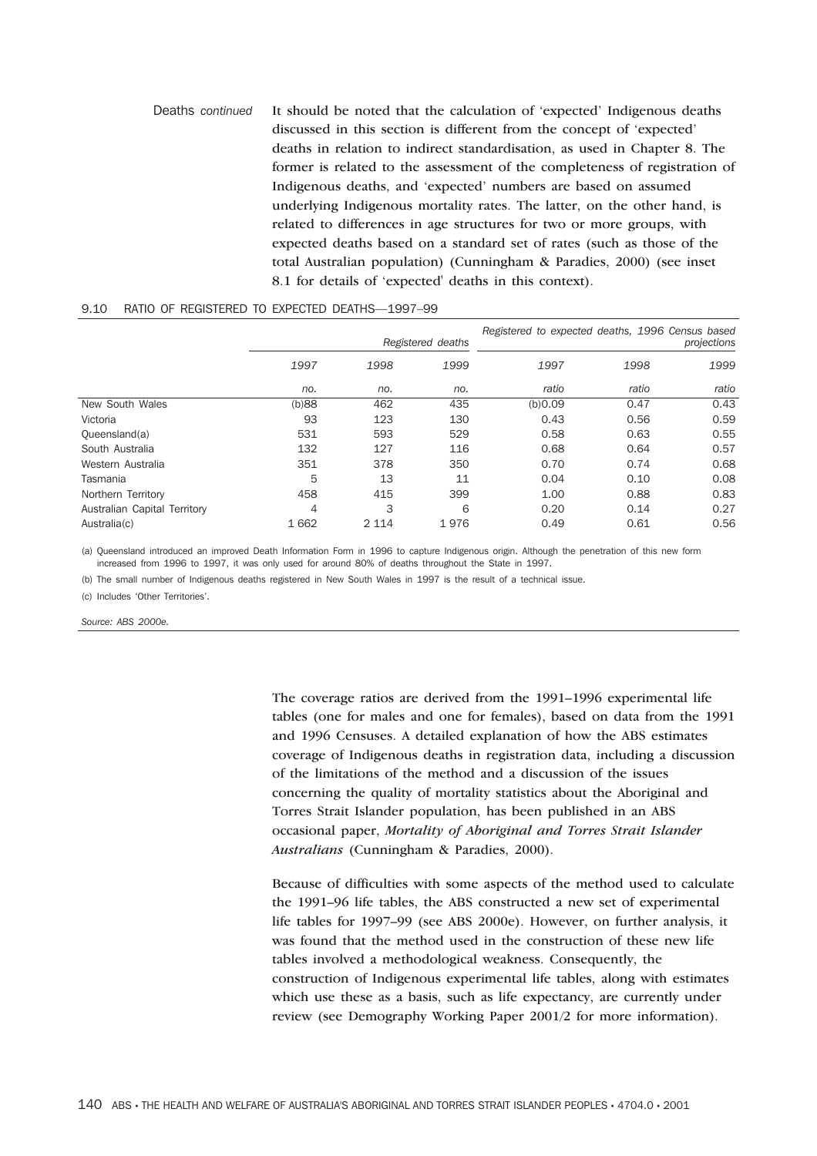Deaths *continued* It should be noted that the calculation of 'expected' Indigenous deaths discussed in this section is different from the concept of 'expected' deaths in relation to indirect standardisation, as used in Chapter 8. The former is related to the assessment of the completeness of registration of Indigenous deaths, and 'expected' numbers are based on assumed underlying Indigenous mortality rates. The latter, on the other hand, is related to differences in age structures for two or more groups, with expected deaths based on a standard set of rates (such as those of the total Australian population) (Cunningham & Paradies, 2000) (see inset 8.1 for details of 'expected' deaths in this context).

#### 9.10 RATIO OF REGISTERED TO EXPECTED DEATHS—1997–99

|                              | Registered deaths |         | Registered to expected deaths, 1996 Census based<br>projections |         |       |       |
|------------------------------|-------------------|---------|-----------------------------------------------------------------|---------|-------|-------|
|                              | 1997              | 1998    | 1999                                                            | 1997    | 1998  | 1999  |
|                              | no.               | no.     | no.                                                             | ratio   | ratio | ratio |
| New South Wales              | (b)88             | 462     | 435                                                             | (b)0.09 | 0.47  | 0.43  |
| Victoria                     | 93                | 123     | 130                                                             | 0.43    | 0.56  | 0.59  |
| Queensland(a)                | 531               | 593     | 529                                                             | 0.58    | 0.63  | 0.55  |
| South Australia              | 132               | 127     | 116                                                             | 0.68    | 0.64  | 0.57  |
| Western Australia            | 351               | 378     | 350                                                             | 0.70    | 0.74  | 0.68  |
| Tasmania                     | 5                 | 13      | 11                                                              | 0.04    | 0.10  | 0.08  |
| Northern Territory           | 458               | 415     | 399                                                             | 1.00    | 0.88  | 0.83  |
| Australian Capital Territory | 4                 | 3       | 6                                                               | 0.20    | 0.14  | 0.27  |
| Australia(c)                 | 1662              | 2 1 1 4 | 1976                                                            | 0.49    | 0.61  | 0.56  |

(a) Queensland introduced an improved Death Information Form in 1996 to capture Indigenous origin. Although the penetration of this new form increased from 1996 to 1997, it was only used for around 80% of deaths throughout the State in 1997.

(b) The small number of Indigenous deaths registered in New South Wales in 1997 is the result of a technical issue.

(c) Includes 'Other Territories'.

*Source: ABS 2000e.*

The coverage ratios are derived from the 1991–1996 experimental life tables (one for males and one for females), based on data from the 1991 and 1996 Censuses. A detailed explanation of how the ABS estimates coverage of Indigenous deaths in registration data, including a discussion of the limitations of the method and a discussion of the issues concerning the quality of mortality statistics about the Aboriginal and Torres Strait Islander population, has been published in an ABS occasional paper, *Mortality of Aboriginal and Torres Strait Islander Australians* (Cunningham & Paradies, 2000).

Because of difficulties with some aspects of the method used to calculate the 1991–96 life tables, the ABS constructed a new set of experimental life tables for 1997–99 (see ABS 2000e). However, on further analysis, it was found that the method used in the construction of these new life tables involved a methodological weakness. Consequently, the construction of Indigenous experimental life tables, along with estimates which use these as a basis, such as life expectancy, are currently under review (see Demography Working Paper 2001/2 for more information).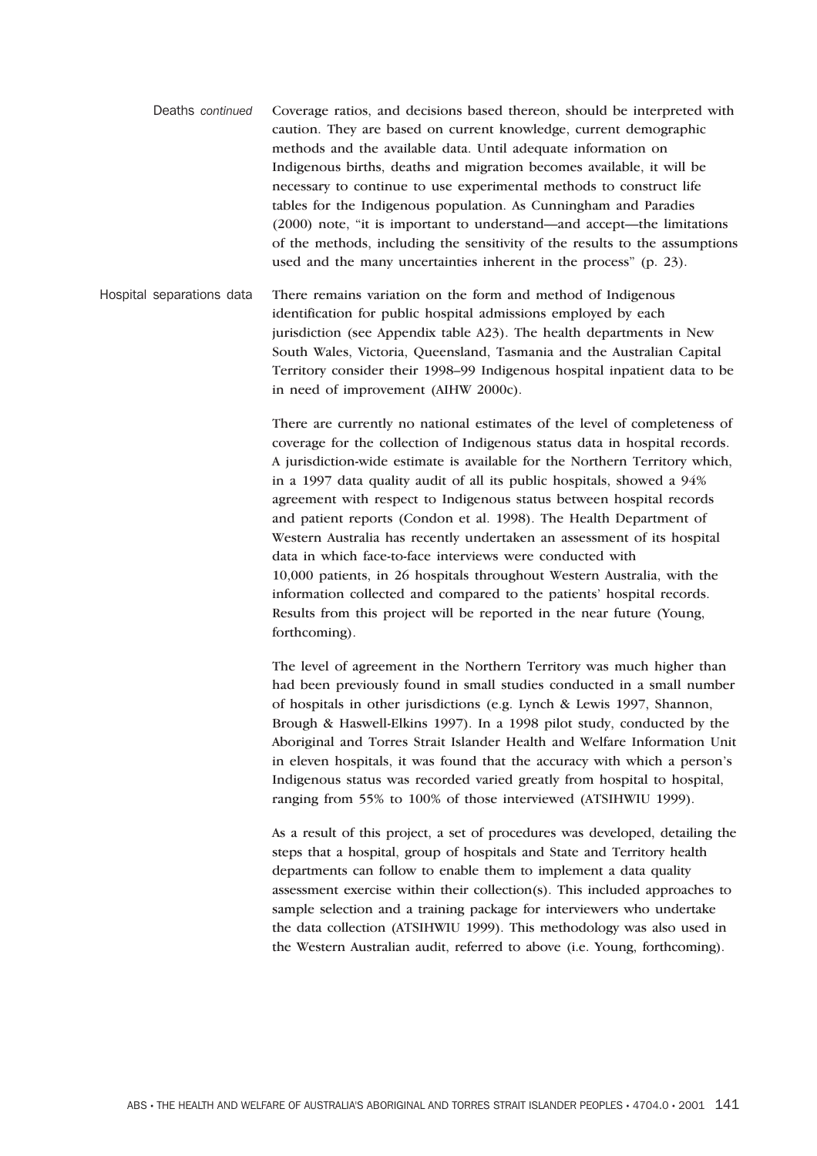- Deaths *continued* Coverage ratios, and decisions based thereon, should be interpreted with caution. They are based on current knowledge, current demographic methods and the available data. Until adequate information on Indigenous births, deaths and migration becomes available, it will be necessary to continue to use experimental methods to construct life tables for the Indigenous population. As Cunningham and Paradies (2000) note, "it is important to understand—and accept—the limitations of the methods, including the sensitivity of the results to the assumptions used and the many uncertainties inherent in the process" (p. 23).
- Hospital separations data There remains variation on the form and method of Indigenous identification for public hospital admissions employed by each jurisdiction (see Appendix table A23). The health departments in New South Wales, Victoria, Queensland, Tasmania and the Australian Capital Territory consider their 1998–99 Indigenous hospital inpatient data to be in need of improvement (AIHW 2000c).

There are currently no national estimates of the level of completeness of coverage for the collection of Indigenous status data in hospital records. A jurisdiction-wide estimate is available for the Northern Territory which, in a 1997 data quality audit of all its public hospitals, showed a 94% agreement with respect to Indigenous status between hospital records and patient reports (Condon et al. 1998). The Health Department of Western Australia has recently undertaken an assessment of its hospital data in which face-to-face interviews were conducted with 10,000 patients, in 26 hospitals throughout Western Australia, with the information collected and compared to the patients' hospital records. Results from this project will be reported in the near future (Young, forthcoming).

The level of agreement in the Northern Territory was much higher than had been previously found in small studies conducted in a small number of hospitals in other jurisdictions (e.g. Lynch & Lewis 1997, Shannon, Brough & Haswell-Elkins 1997). In a 1998 pilot study, conducted by the Aboriginal and Torres Strait Islander Health and Welfare Information Unit in eleven hospitals, it was found that the accuracy with which a person's Indigenous status was recorded varied greatly from hospital to hospital, ranging from 55% to 100% of those interviewed (ATSIHWIU 1999).

As a result of this project, a set of procedures was developed, detailing the steps that a hospital, group of hospitals and State and Territory health departments can follow to enable them to implement a data quality assessment exercise within their collection(s). This included approaches to sample selection and a training package for interviewers who undertake the data collection (ATSIHWIU 1999). This methodology was also used in the Western Australian audit, referred to above (i.e. Young, forthcoming).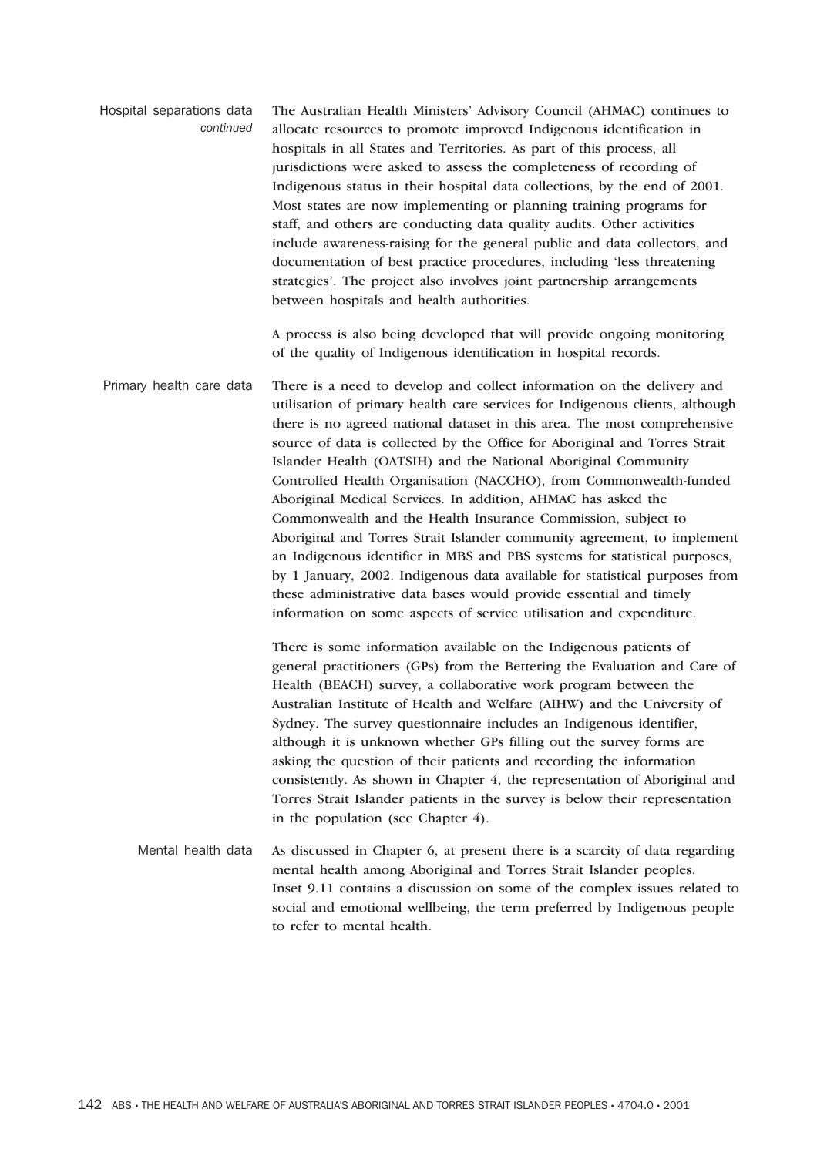Hospital separations data *continued* The Australian Health Ministers' Advisory Council (AHMAC) continues to allocate resources to promote improved Indigenous identification in hospitals in all States and Territories. As part of this process, all jurisdictions were asked to assess the completeness of recording of Indigenous status in their hospital data collections, by the end of 2001. Most states are now implementing or planning training programs for staff, and others are conducting data quality audits. Other activities include awareness-raising for the general public and data collectors, and documentation of best practice procedures, including 'less threatening strategies'. The project also involves joint partnership arrangements between hospitals and health authorities.

> A process is also being developed that will provide ongoing monitoring of the quality of Indigenous identification in hospital records.

Primary health care data There is a need to develop and collect information on the delivery and utilisation of primary health care services for Indigenous clients, although there is no agreed national dataset in this area. The most comprehensive source of data is collected by the Office for Aboriginal and Torres Strait Islander Health (OATSIH) and the National Aboriginal Community Controlled Health Organisation (NACCHO), from Commonwealth-funded Aboriginal Medical Services. In addition, AHMAC has asked the Commonwealth and the Health Insurance Commission, subject to Aboriginal and Torres Strait Islander community agreement, to implement an Indigenous identifier in MBS and PBS systems for statistical purposes, by 1 January, 2002. Indigenous data available for statistical purposes from these administrative data bases would provide essential and timely information on some aspects of service utilisation and expenditure.

> There is some information available on the Indigenous patients of general practitioners (GPs) from the Bettering the Evaluation and Care of Health (BEACH) survey, a collaborative work program between the Australian Institute of Health and Welfare (AIHW) and the University of Sydney. The survey questionnaire includes an Indigenous identifier, although it is unknown whether GPs filling out the survey forms are asking the question of their patients and recording the information consistently. As shown in Chapter 4, the representation of Aboriginal and Torres Strait Islander patients in the survey is below their representation in the population (see Chapter 4).

Mental health data As discussed in Chapter 6, at present there is a scarcity of data regarding mental health among Aboriginal and Torres Strait Islander peoples. Inset 9.11 contains a discussion on some of the complex issues related to social and emotional wellbeing, the term preferred by Indigenous people to refer to mental health.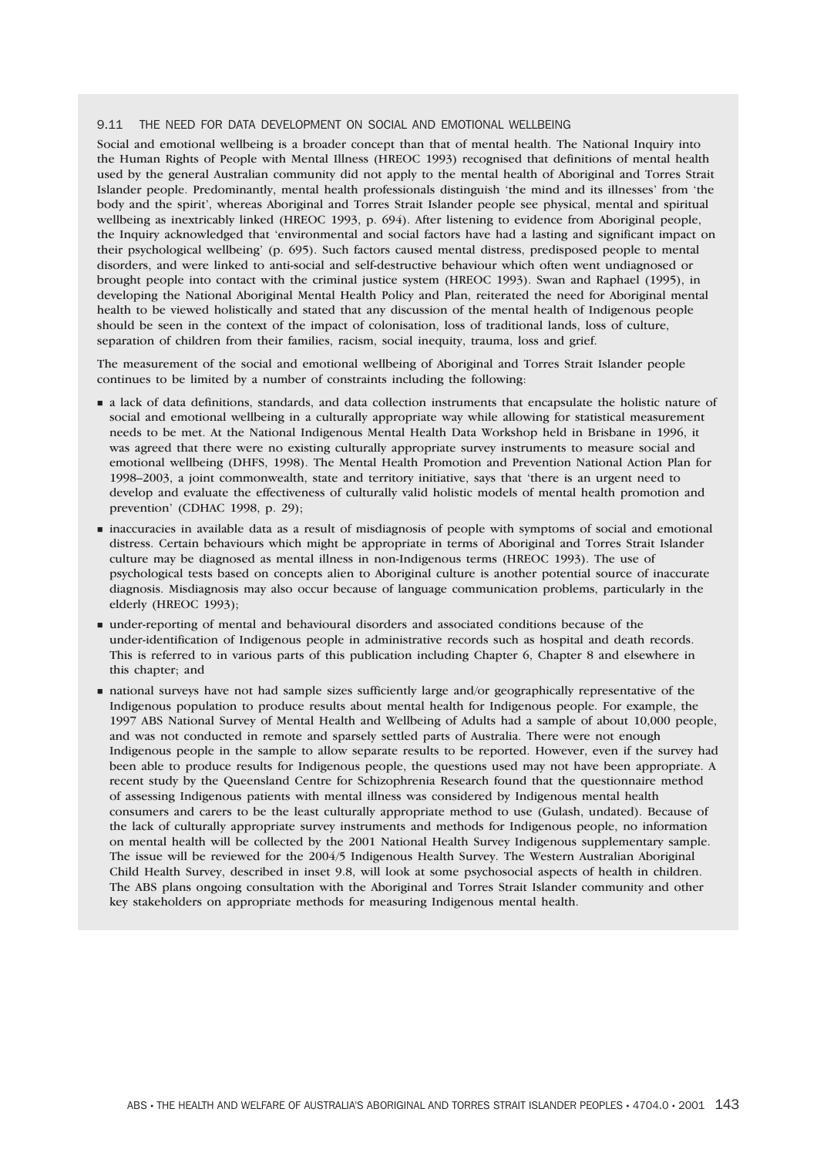#### 9.11 THE NEED FOR DATA DEVELOPMENT ON SOCIAL AND EMOTIONAL WELLBEING

Social and emotional wellbeing is a broader concept than that of mental health. The National Inquiry into the Human Rights of People with Mental Illness (HREOC 1993) recognised that definitions of mental health used by the general Australian community did not apply to the mental health of Aboriginal and Torres Strait Islander people. Predominantly, mental health professionals distinguish 'the mind and its illnesses' from 'the body and the spirit', whereas Aboriginal and Torres Strait Islander people see physical, mental and spiritual wellbeing as inextricably linked (HREOC 1993, p. 694). After listening to evidence from Aboriginal people, the Inquiry acknowledged that 'environmental and social factors have had a lasting and significant impact on their psychological wellbeing' (p. 695). Such factors caused mental distress, predisposed people to mental disorders, and were linked to anti-social and self-destructive behaviour which often went undiagnosed or brought people into contact with the criminal justice system (HREOC 1993). Swan and Raphael (1995), in developing the National Aboriginal Mental Health Policy and Plan, reiterated the need for Aboriginal mental health to be viewed holistically and stated that any discussion of the mental health of Indigenous people should be seen in the context of the impact of colonisation, loss of traditional lands, loss of culture, separation of children from their families, racism, social inequity, trauma, loss and grief.

The measurement of the social and emotional wellbeing of Aboriginal and Torres Strait Islander people continues to be limited by a number of constraints including the following:

- **a** lack of data definitions, standards, and data collection instruments that encapsulate the holistic nature of social and emotional wellbeing in a culturally appropriate way while allowing for statistical measurement needs to be met. At the National Indigenous Mental Health Data Workshop held in Brisbane in 1996, it was agreed that there were no existing culturally appropriate survey instruments to measure social and emotional wellbeing (DHFS, 1998). The Mental Health Promotion and Prevention National Action Plan for 1998–2003, a joint commonwealth, state and territory initiative, says that 'there is an urgent need to develop and evaluate the effectiveness of culturally valid holistic models of mental health promotion and prevention' (CDHAC 1998, p. 29);
- inaccuracies in available data as a result of misdiagnosis of people with symptoms of social and emotional distress. Certain behaviours which might be appropriate in terms of Aboriginal and Torres Strait Islander culture may be diagnosed as mental illness in non-Indigenous terms (HREOC 1993). The use of psychological tests based on concepts alien to Aboriginal culture is another potential source of inaccurate diagnosis. Misdiagnosis may also occur because of language communication problems, particularly in the elderly (HREOC 1993);
- under-reporting of mental and behavioural disorders and associated conditions because of the under-identification of Indigenous people in administrative records such as hospital and death records. This is referred to in various parts of this publication including Chapter 6, Chapter 8 and elsewhere in this chapter; and
- national surveys have not had sample sizes sufficiently large and/or geographically representative of the Indigenous population to produce results about mental health for Indigenous people. For example, the 1997 ABS National Survey of Mental Health and Wellbeing of Adults had a sample of about 10,000 people, and was not conducted in remote and sparsely settled parts of Australia. There were not enough Indigenous people in the sample to allow separate results to be reported. However, even if the survey had been able to produce results for Indigenous people, the questions used may not have been appropriate. A recent study by the Queensland Centre for Schizophrenia Research found that the questionnaire method of assessing Indigenous patients with mental illness was considered by Indigenous mental health consumers and carers to be the least culturally appropriate method to use (Gulash, undated). Because of the lack of culturally appropriate survey instruments and methods for Indigenous people, no information on mental health will be collected by the 2001 National Health Survey Indigenous supplementary sample. The issue will be reviewed for the 2004/5 Indigenous Health Survey. The Western Australian Aboriginal Child Health Survey, described in inset 9.8, will look at some psychosocial aspects of health in children. The ABS plans ongoing consultation with the Aboriginal and Torres Strait Islander community and other key stakeholders on appropriate methods for measuring Indigenous mental health.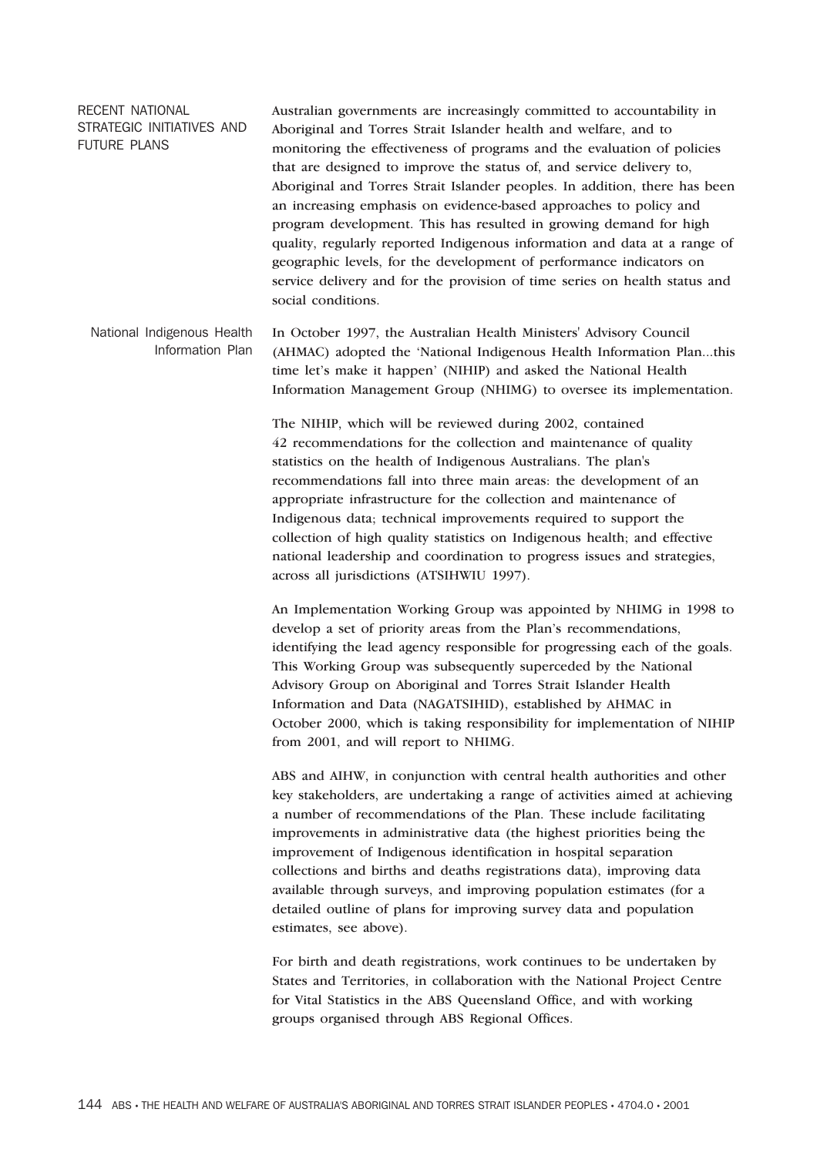RECENT NATIONAL STRATEGIC INITIATIVES AND FUTURE PLANS Australian governments are increasingly committed to accountability in Aboriginal and Torres Strait Islander health and welfare, and to monitoring the effectiveness of programs and the evaluation of policies that are designed to improve the status of, and service delivery to, Aboriginal and Torres Strait Islander peoples. In addition, there has been an increasing emphasis on evidence-based approaches to policy and program development. This has resulted in growing demand for high quality, regularly reported Indigenous information and data at a range of geographic levels, for the development of performance indicators on service delivery and for the provision of time series on health status and social conditions.

National Indigenous Health Information Plan In October 1997, the Australian Health Ministers' Advisory Council (AHMAC) adopted the 'National Indigenous Health Information Plan...this time let's make it happen' (NIHIP) and asked the National Health Information Management Group (NHIMG) to oversee its implementation.

> The NIHIP, which will be reviewed during 2002, contained 42 recommendations for the collection and maintenance of quality statistics on the health of Indigenous Australians. The plan's recommendations fall into three main areas: the development of an appropriate infrastructure for the collection and maintenance of Indigenous data; technical improvements required to support the collection of high quality statistics on Indigenous health; and effective national leadership and coordination to progress issues and strategies, across all jurisdictions (ATSIHWIU 1997).

An Implementation Working Group was appointed by NHIMG in 1998 to develop a set of priority areas from the Plan's recommendations, identifying the lead agency responsible for progressing each of the goals. This Working Group was subsequently superceded by the National Advisory Group on Aboriginal and Torres Strait Islander Health Information and Data (NAGATSIHID), established by AHMAC in October 2000, which is taking responsibility for implementation of NIHIP from 2001, and will report to NHIMG.

ABS and AIHW, in conjunction with central health authorities and other key stakeholders, are undertaking a range of activities aimed at achieving a number of recommendations of the Plan. These include facilitating improvements in administrative data (the highest priorities being the improvement of Indigenous identification in hospital separation collections and births and deaths registrations data), improving data available through surveys, and improving population estimates (for a detailed outline of plans for improving survey data and population estimates, see above).

For birth and death registrations, work continues to be undertaken by States and Territories, in collaboration with the National Project Centre for Vital Statistics in the ABS Queensland Office, and with working groups organised through ABS Regional Offices.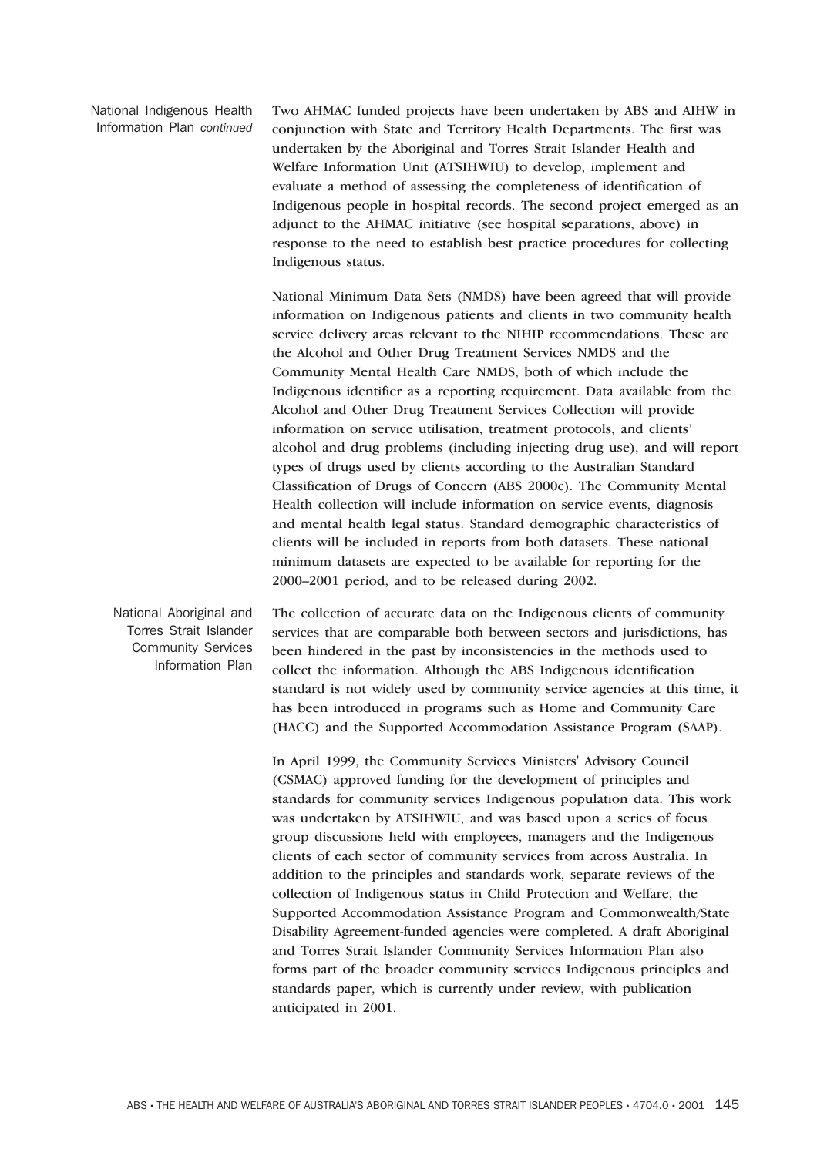National Indigenous Health Information Plan *continued* Two AHMAC funded projects have been undertaken by ABS and AIHW in conjunction with State and Territory Health Departments. The first was undertaken by the Aboriginal and Torres Strait Islander Health and Welfare Information Unit (ATSIHWIU) to develop, implement and evaluate a method of assessing the completeness of identification of Indigenous people in hospital records. The second project emerged as an adjunct to the AHMAC initiative (see hospital separations, above) in response to the need to establish best practice procedures for collecting Indigenous status.

National Minimum Data Sets (NMDS) have been agreed that will provide information on Indigenous patients and clients in two community health service delivery areas relevant to the NIHIP recommendations. These are the Alcohol and Other Drug Treatment Services NMDS and the Community Mental Health Care NMDS, both of which include the Indigenous identifier as a reporting requirement. Data available from the Alcohol and Other Drug Treatment Services Collection will provide information on service utilisation, treatment protocols, and clients' alcohol and drug problems (including injecting drug use), and will report types of drugs used by clients according to the Australian Standard Classification of Drugs of Concern (ABS 2000c). The Community Mental Health collection will include information on service events, diagnosis and mental health legal status. Standard demographic characteristics of clients will be included in reports from both datasets. These national minimum datasets are expected to be available for reporting for the 2000–2001 period, and to be released during 2002.

National Aboriginal and Torres Strait Islander Community Services Information Plan The collection of accurate data on the Indigenous clients of community services that are comparable both between sectors and jurisdictions, has been hindered in the past by inconsistencies in the methods used to collect the information. Although the ABS Indigenous identification standard is not widely used by community service agencies at this time, it has been introduced in programs such as Home and Community Care (HACC) and the Supported Accommodation Assistance Program (SAAP).

> In April 1999, the Community Services Ministers' Advisory Council (CSMAC) approved funding for the development of principles and standards for community services Indigenous population data. This work was undertaken by ATSIHWIU, and was based upon a series of focus group discussions held with employees, managers and the Indigenous clients of each sector of community services from across Australia. In addition to the principles and standards work, separate reviews of the collection of Indigenous status in Child Protection and Welfare, the Supported Accommodation Assistance Program and Commonwealth/State Disability Agreement-funded agencies were completed. A draft Aboriginal and Torres Strait Islander Community Services Information Plan also forms part of the broader community services Indigenous principles and standards paper, which is currently under review, with publication anticipated in 2001.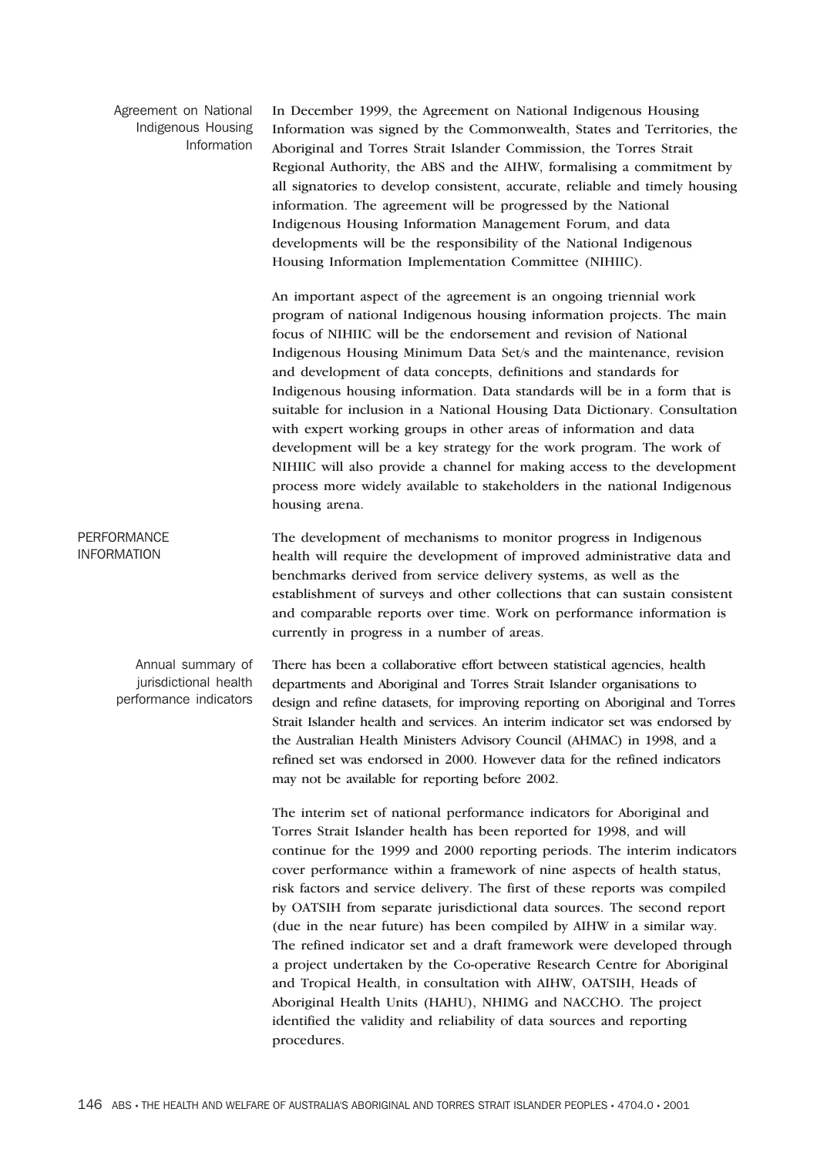Agreement on National Indigenous Housing Information

In December 1999, the Agreement on National Indigenous Housing Information was signed by the Commonwealth, States and Territories, the Aboriginal and Torres Strait Islander Commission, the Torres Strait Regional Authority, the ABS and the AIHW, formalising a commitment by all signatories to develop consistent, accurate, reliable and timely housing information. The agreement will be progressed by the National Indigenous Housing Information Management Forum, and data developments will be the responsibility of the National Indigenous Housing Information Implementation Committee (NIHIIC).

An important aspect of the agreement is an ongoing triennial work program of national Indigenous housing information projects. The main focus of NIHIIC will be the endorsement and revision of National Indigenous Housing Minimum Data Set/s and the maintenance, revision and development of data concepts, definitions and standards for Indigenous housing information. Data standards will be in a form that is suitable for inclusion in a National Housing Data Dictionary. Consultation with expert working groups in other areas of information and data development will be a key strategy for the work program. The work of NIHIIC will also provide a channel for making access to the development process more widely available to stakeholders in the national Indigenous housing arena.

**PERFORMANCE** INFORMATION The development of mechanisms to monitor progress in Indigenous health will require the development of improved administrative data and benchmarks derived from service delivery systems, as well as the establishment of surveys and other collections that can sustain consistent and comparable reports over time. Work on performance information is currently in progress in a number of areas.

Annual summary of jurisdictional health performance indicators There has been a collaborative effort between statistical agencies, health departments and Aboriginal and Torres Strait Islander organisations to design and refine datasets, for improving reporting on Aboriginal and Torres Strait Islander health and services. An interim indicator set was endorsed by the Australian Health Ministers Advisory Council (AHMAC) in 1998, and a refined set was endorsed in 2000. However data for the refined indicators may not be available for reporting before 2002.

> The interim set of national performance indicators for Aboriginal and Torres Strait Islander health has been reported for 1998, and will continue for the 1999 and 2000 reporting periods. The interim indicators cover performance within a framework of nine aspects of health status, risk factors and service delivery. The first of these reports was compiled by OATSIH from separate jurisdictional data sources. The second report (due in the near future) has been compiled by AIHW in a similar way. The refined indicator set and a draft framework were developed through a project undertaken by the Co-operative Research Centre for Aboriginal and Tropical Health, in consultation with AIHW, OATSIH, Heads of Aboriginal Health Units (HAHU), NHIMG and NACCHO. The project identified the validity and reliability of data sources and reporting procedures.